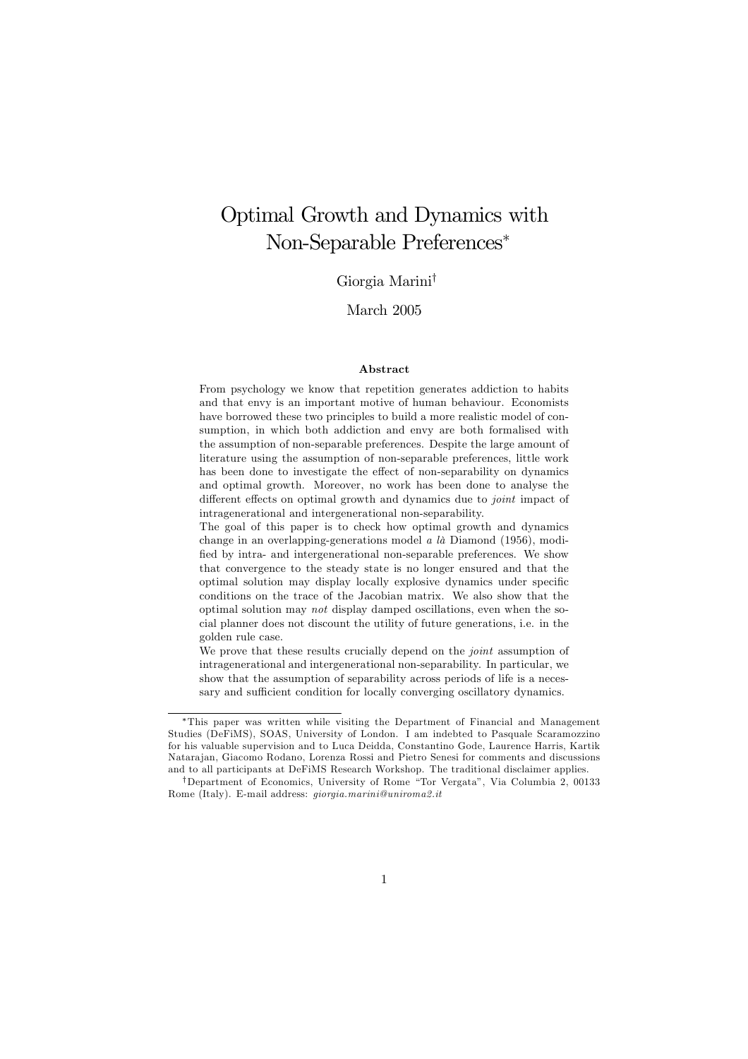# Optimal Growth and Dynamics with Non-Separable Preferences\*

## Giorgia Marini<sup>†</sup>

## March 2005

### Abstract

From psychology we know that repetition generates addiction to habits and that envy is an important motive of human behaviour. Economists have borrowed these two principles to build a more realistic model of consumption, in which both addiction and envy are both formalised with the assumption of non-separable preferences. Despite the large amount of literature using the assumption of non-separable preferences, little work has been done to investigate the effect of non-separability on dynamics and optimal growth. Moreover, no work has been done to analyse the different effects on optimal growth and dynamics due to *joint* impact of intragenerational and intergenerational non-separability.

The goal of this paper is to check how optimal growth and dynamics change in an overlapping-generations model  $a \, l\dot{a}$  Diamond (1956), modified by intra- and intergenerational non-separable preferences. We show that convergence to the steady state is no longer ensured and that the optimal solution may display locally explosive dynamics under specific conditions on the trace of the Jacobian matrix. We also show that the optimal solution may not display damped oscillations, even when the social planner does not discount the utility of future generations, i.e. in the golden rule case.

We prove that these results crucially depend on the joint assumption of intragenerational and intergenerational non-separability. In particular, we show that the assumption of separability across periods of life is a necessary and sufficient condition for locally converging oscillatory dynamics.

<sup>\*</sup>This paper was written while visiting the Department of Financial and Management Studies (DeFiMS), SOAS, University of London. I am indebted to Pasquale Scaramozzino for his valuable supervision and to Luca Deidda. Constantino Gode, Laurence Harris, Kartik Natarajan, Giacomo Rodano, Lorenza Rossi and Pietro Senesi for comments and discussions and to all participants at DeFiMS Research Workshop. The traditional disclaimer applies.

<sup>&</sup>lt;sup>†</sup>Department of Economics, University of Rome "Tor Vergata", Via Columbia 2, 00133 Rome (Italy). E-mail address: *giorgia.marini@uniroma2.it*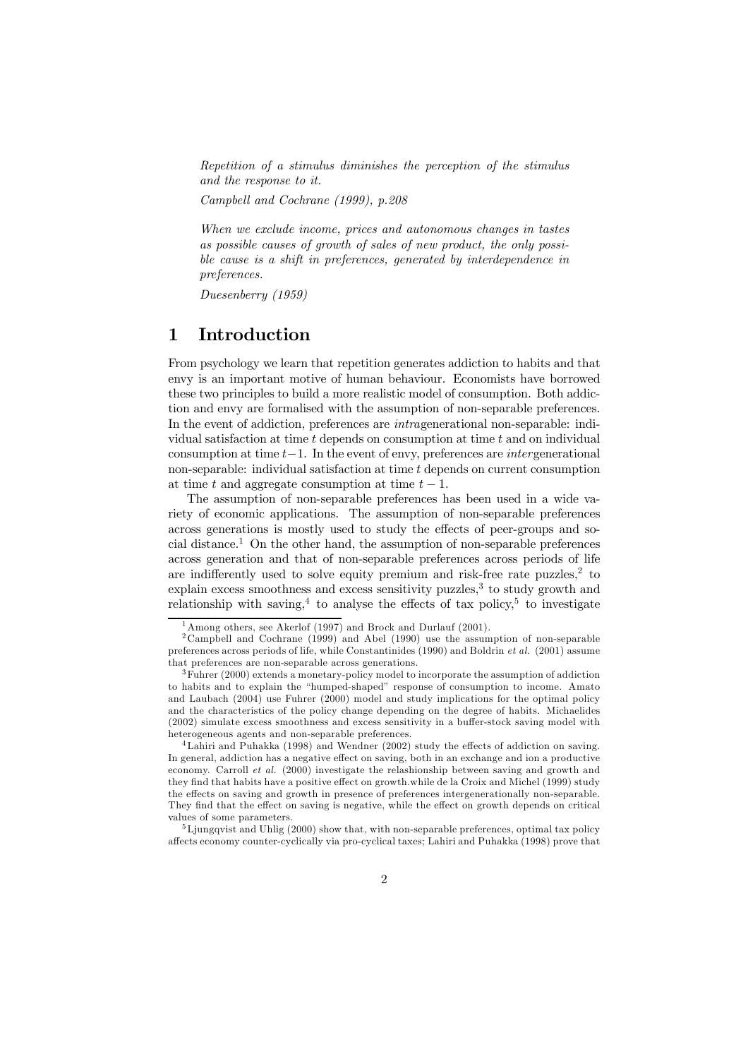Repetition of a stimulus diminishes the perception of the stimulus and the response to it.

Campbell and Cochrane (1999), p.208

When we exclude income, prices and autonomous changes in tastes as possible causes of growth of sales of new product, the only possible cause is a shift in preferences, generated by interdependence in preferences.

Duesenberry (1959)

### $\mathbf 1$ Introduction

From psychology we learn that repetition generates addiction to habits and that envy is an important motive of human behaviour. Economists have borrowed these two principles to build a more realistic model of consumption. Both addiction and envy are formalised with the assumption of non-separable preferences. In the event of addiction, preferences are *intragemerational* non-separable: individual satisfaction at time  $t$  depends on consumption at time  $t$  and on individual consumption at time  $t-1$ . In the event of envy, preferences are *intergenerational* non-separable: individual satisfaction at time  $t$  depends on current consumption at time t and aggregate consumption at time  $t-1$ .

The assumption of non-separable preferences has been used in a wide variety of economic applications. The assumption of non-separable preferences across generations is mostly used to study the effects of peer-groups and social distance.<sup>1</sup> On the other hand, the assumption of non-separable preferences across generation and that of non-separable preferences across periods of life are indifferently used to solve equity premium and risk-free rate puzzles,<sup>2</sup> to explain excess smoothness and excess sensitivity puzzles,<sup>3</sup> to study growth and relationship with saving,<sup>4</sup> to analyse the effects of tax policy,<sup>5</sup> to investigate

 $1$ Among others, see Akerlof (1997) and Brock and Durlauf (2001).

<sup>&</sup>lt;sup>2</sup> Campbell and Cochrane (1999) and Abel (1990) use the assumption of non-separable preferences across periods of life, while Constantinides (1990) and Boldrin et al. (2001) assume that preferences are non-separable across generations.

 $3$  Fuhrer (2000) extends a monetary-policy model to incorporate the assumption of addiction to habits and to explain the "humped-shaped" response of consumption to income. Amato and Laubach (2004) use Fuhrer (2000) model and study implications for the optimal policy and the characteristics of the policy change depending on the degree of habits. Michaelides (2002) simulate excess smoothness and excess sensitivity in a buffer-stock saving model with heterogeneous agents and non-separable preferences.

 $4$ Lahiri and Puhakka (1998) and Wendner (2002) study the effects of addiction on saving. In general, addiction has a negative effect on saving, both in an exchange and ion a productive economy. Carroll *et al.* (2000) investigate the relashionship between saving and growth and they find that habits have a positive effect on growth.while de la Croix and Michel (1999) study the effects on saving and growth in presence of preferences intergenerationally non-separable. They find that the effect on saving is negative, while the effect on growth depends on critical values of some parameters

 ${}^{5}$ Ljungqvist and Uhlig (2000) show that, with non-separable preferences, optimal tax policy affects economy counter-cyclically via pro-cyclical taxes; Lahiri and Puhakka (1998) prove that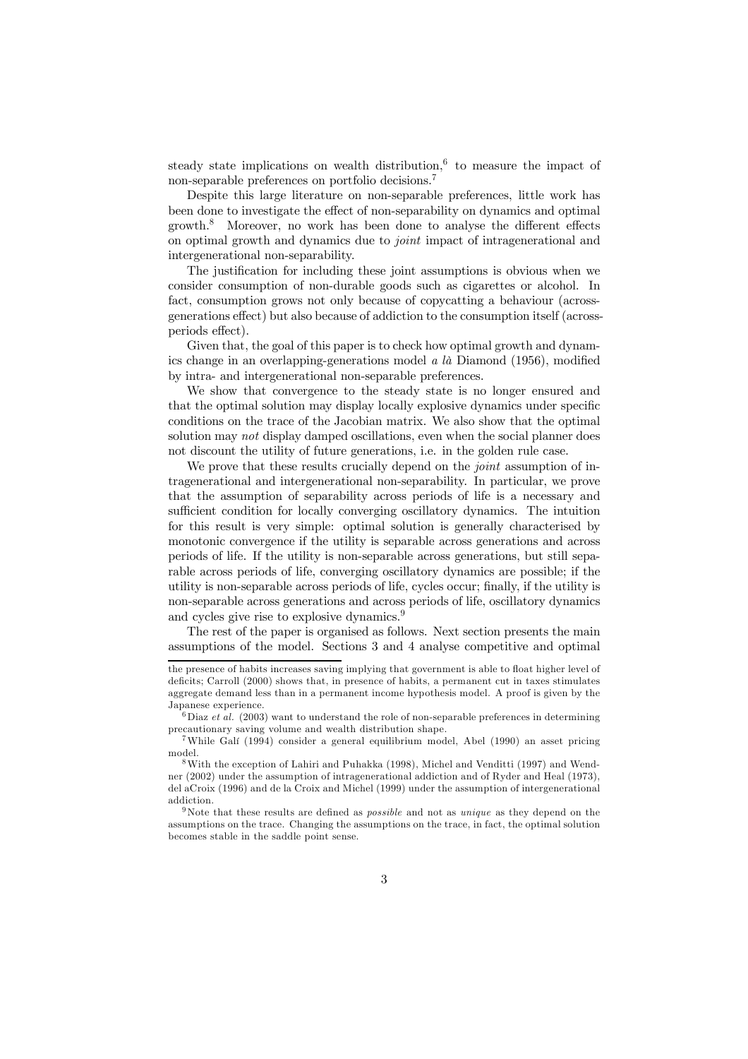steady state implications on wealth distribution,  $6\text{ to measure the impact of}$ non-separable preferences on portfolio decisions.<sup>7</sup>

Despite this large literature on non-separable preferences, little work has been done to investigate the effect of non-separability on dynamics and optimal growth.<sup>8</sup> Moreover, no work has been done to analyse the different effects on optimal growth and dynamics due to *joint* impact of intragenerational and intergenerational non-separability.

The justification for including these joint assumptions is obvious when we consider consumption of non-durable goods such as cigarettes or alcohol. In fact, consumption grows not only because of copyright a behaviour (acrossgenerations effect) but also because of addiction to the consumption itself (acrossperiods effect).

Given that, the goal of this paper is to check how optimal growth and dynamics change in an overlapping-generations model  $a$   $l\dot{a}$  Diamond (1956), modified by intra- and intergenerational non-separable preferences.

We show that convergence to the steady state is no longer ensured and that the optimal solution may display locally explosive dynamics under specific conditions on the trace of the Jacobian matrix. We also show that the optimal solution may not display damped oscillations, even when the social planner does not discount the utility of future generations, i.e. in the golden rule case.

We prove that these results crucially depend on the *joint* assumption of intragenerational and intergenerational non-separability. In particular, we prove that the assumption of separability across periods of life is a necessary and sufficient condition for locally converging oscillatory dynamics. The intuition for this result is very simple: optimal solution is generally characterised by monotonic convergence if the utility is separable across generations and across periods of life. If the utility is non-separable across generations, but still separable across periods of life, converging oscillatory dynamics are possible; if the utility is non-separable across periods of life, cycles occur; finally, if the utility is non-separable across generations and across periods of life, oscillatory dynamics and cycles give rise to explosive dynamics.<sup>9</sup>

The rest of the paper is organised as follows. Next section presents the main assumptions of the model. Sections 3 and 4 analyse competitive and optimal

 $6\,\mathrm{Diaz}$  et al. (2003) want to understand the role of non-separable preferences in determining precautionary saving volume and wealth distribution shape.<br><sup>7</sup>While Gali (1994) consider a general equilibrium model, Abel (1990) an asset pricing

model.

<sup>9</sup>Note that these results are defined as *possible* and not as *unique* as they depend on the assumptions on the trace. Changing the assumptions on the trace, in fact, the optimal solution becomes stable in the saddle point sense.

the presence of habits increases saving implying that government is able to float higher level of deficits; Carroll (2000) shows that, in presence of habits, a permanent cut in taxes stimulates aggregate demand less than in a permanent income hypothesis model. A proof is given by the Japanese experience.

<sup>&</sup>lt;sup>8</sup> With the exception of Lahiri and Puhakka (1998), Michel and Venditti (1997) and Wendner (2002) under the assumption of intragenerational addiction and of Ryder and Heal (1973), del aCroix (1996) and de la Croix and Michel (1999) under the assumption of intergenerational addiction.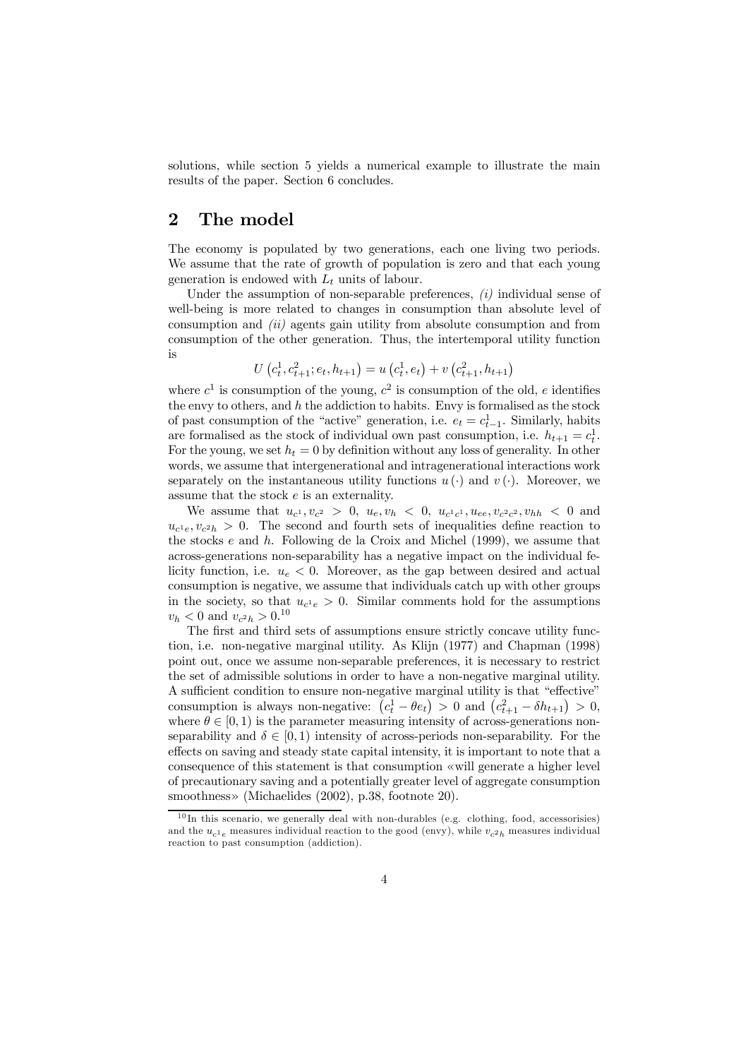solutions, while section 5 yields a numerical example to illustrate the main results of the paper. Section 6 concludes.

### $\overline{2}$ The model

The economy is populated by two generations, each one living two periods. We assume that the rate of growth of population is zero and that each young generation is endowed with  $L_t$  units of labour.

Under the assumption of non-separable preferences,  $(i)$  individual sense of well-being is more related to changes in consumption than absolute level of consumption and  $(ii)$  agents gain utility from absolute consumption and from consumption of the other generation. Thus, the intertemporal utility function  $i_{\rm S}$ 

$$
U\left(c_t^1, c_{t+1}^2; e_t, h_{t+1}\right) = u\left(c_t^1, e_t\right) + v\left(c_{t+1}^2, h_{t+1}\right)
$$

where  $c^1$  is consumption of the young,  $c^2$  is consumption of the old, e identifies the envy to others, and  $h$  the addiction to habits. Envy is formalised as the stock of past consumption of the "active" generation, i.e.  $e_t = c_{t-1}^1$ . Similarly, habits are formalised as the stock of individual own past consumption, i.e.  $h_{t+1} = c_t^1$ . For the young, we set  $h_t = 0$  by definition without any loss of generality. In other words, we assume that intergenerational and intragenerational interactions work separately on the instantaneous utility functions  $u(\cdot)$  and  $v(\cdot)$ . Moreover, we assume that the stock  $e$  is an externality.

We assume that  $u_{c^1}, v_{c^2} > 0$ ,  $u_e, v_h < 0$ ,  $u_{c^1c^1}, u_{ee}, v_{c^2c^2}, v_{hh} < 0$  and  $u_{c^1e}, v_{c^2h} > 0$ . The second and fourth sets of inequalities define reaction to the stocks  $e$  and  $h$ . Following de la Croix and Michel (1999), we assume that across-generations non-separability has a negative impact on the individual felicity function, i.e.  $u_e < 0$ . Moreover, as the gap between desired and actual consumption is negative, we assume that individuals catch up with other groups in the society, so that  $u_{c^1e} > 0$ . Similar comments hold for the assumptions  $v_h < 0$  and  $v_{c^2h} > 0.10$ 

The first and third sets of assumptions ensure strictly concave utility function, i.e. non-negative marginal utility. As Kliin (1977) and Chapman (1998) point out, once we assume non-separable preferences, it is necessary to restrict the set of admissible solutions in order to have a non-negative marginal utility. A sufficient condition to ensure non-negative marginal utility is that "effective" consumption is always non-negative:  $(c_t^1 - \theta e_t) > 0$  and  $(c_{t+1}^2 - \delta h_{t+1}) > 0$ , where  $\theta \in [0, 1)$  is the parameter measuring intensity of across-generations nonseparability and  $\delta \in [0,1)$  intensity of across-periods non-separability. For the effects on saying and steady state capital intensity, it is important to note that a consequence of this statement is that consumption «will generate a higher level of precautionary saving and a potentially greater level of aggregate consumption smoothness» (Michaelides (2002), p.38, footnote 20).

 $10$ In this scenario, we generally deal with non-durables (e.g. clothing, food, accessorisies) and the  $u_{c1}$ <sub>e</sub> measures individual reaction to the good (envy), while  $v_{c2}$ <sub>h</sub> measures individual reaction to past consumption (addiction).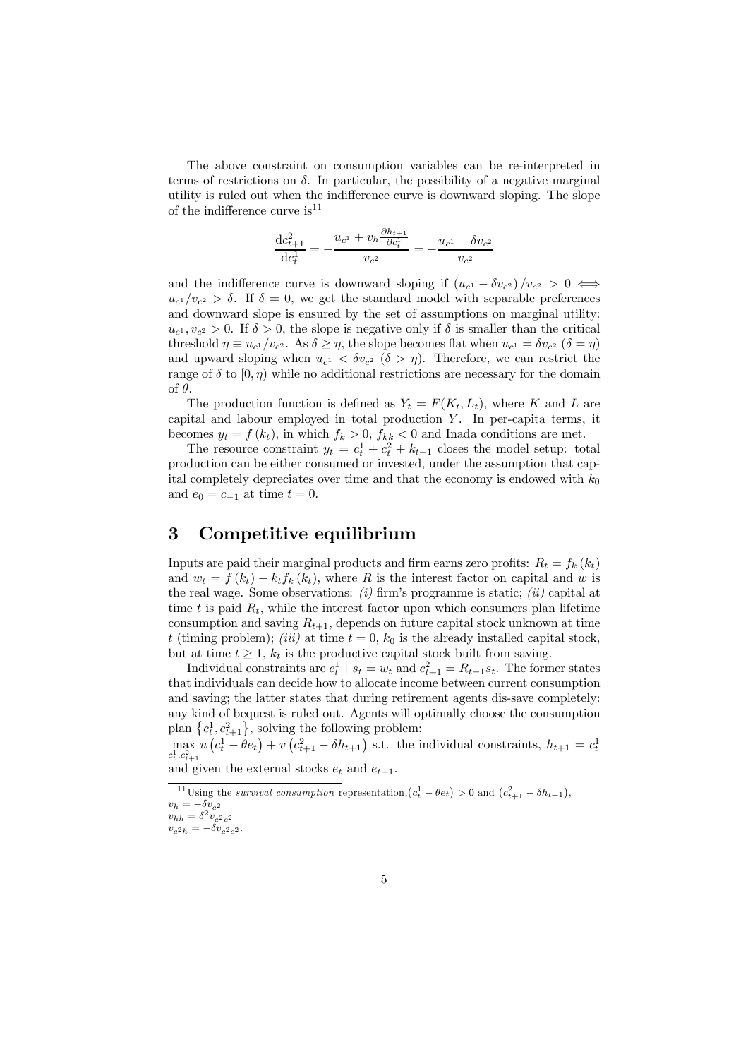The above constraint on consumption variables can be re-interpreted in terms of restrictions on  $\delta$ . In particular, the possibility of a negative marginal utility is ruled out when the indifference curve is downward sloping. The slope of the indifference curve  $is^{11}$ 

$$
\frac{\mathrm{d}c_{t+1}^2}{\mathrm{d}c_t^1} = -\frac{u_{c^1} + v_h \frac{\partial h_{t+1}}{\partial c_t^1}}{v_{c^2}} = -\frac{u_{c^1} - \delta v_{c^2}}{v_{c^2}}
$$

and the indifference curve is downward sloping if  $(u_{c1} - \delta v_{c2})/v_{c2} > 0 \Leftrightarrow$  $u_{c1}/v_{c2} > \delta$ . If  $\delta = 0$ , we get the standard model with separable preferences and downward slope is ensured by the set of assumptions on marginal utility:  $u_{c1}, v_{c2} > 0$ . If  $\delta > 0$ , the slope is negative only if  $\delta$  is smaller than the critical threshold  $\eta \equiv u_{c1}/v_{c2}$ . As  $\delta \geq \eta$ , the slope becomes flat when  $u_{c1} = \delta v_{c2}$  ( $\delta = \eta$ ) and upward sloping when  $u_{c1} < \delta v_{c2}$  ( $\delta > \eta$ ). Therefore, we can restrict the range of  $\delta$  to  $[0, \eta)$  while no additional restrictions are necessary for the domain of  $\theta$ .

The production function is defined as  $Y_t = F(K_t, L_t)$ , where K and L are capital and labour employed in total production  $Y$ . In per-capita terms, it becomes  $y_t = f(k_t)$ , in which  $f_k > 0$ ,  $f_{kk} < 0$  and Inada conditions are met.

The resource constraint  $y_t = c_t^1 + c_t^2 + k_{t+1}$  closes the model setup: total production can be either consumed or invested, under the assumption that capital completely depreciates over time and that the economy is endowed with  $k_0$ and  $e_0 = c_{-1}$  at time  $t = 0$ .

### 3 Competitive equilibrium

Inputs are paid their marginal products and firm earns zero profits:  $R_t = f_k(k_t)$ and  $w_t = f(k_t) - k_t f_k(k_t)$ , where R is the interest factor on capital and w is the real wage. Some observations: (i) firm's programme is static; (ii) capital at time t is paid  $R_t$ , while the interest factor upon which consumers plan lifetime consumption and saving  $R_{t+1}$ , depends on future capital stock unknown at time t (timing problem); (iii) at time  $t = 0$ ,  $k_0$  is the already installed capital stock, but at time  $t \geq 1$ ,  $k_t$  is the productive capital stock built from saving.

Individual constraints are  $c_t^1 + s_t = w_t$  and  $c_{t+1}^2 = R_{t+1}s_t$ . The former states that individuals can decide how to allocate income between current consumption and saving; the latter states that during retirement agents dis-save completely: any kind of bequest is ruled out. Agents will optimally choose the consumption plan  ${c_t^1, c_{t+1}^2}$ , solving the following problem:

 $\max_{c_t^1,c_{t+1}^2} u(c_t^1 - \theta e_t) + v(c_{t+1}^2 - \delta h_{t+1})$  s.t. the individual constraints,  $h_{t+1} = c_t^1$ 

and given the external stocks  $e_t$  and  $e_{t+1}$ .

<sup>&</sup>lt;sup>11</sup>Using the *survival consumption* representation,  $(c_t^1 - \theta e_t) > 0$  and  $(c_{t+1}^2 - \delta h_{t+1})$ ,  $v_h = -\overline{\delta v_{c^2}}$ 

 $v_{hh} = \delta^2 v_{c^2c^2}$ 

 $v_{c^2h} = -\delta v_{c^2c^2}.$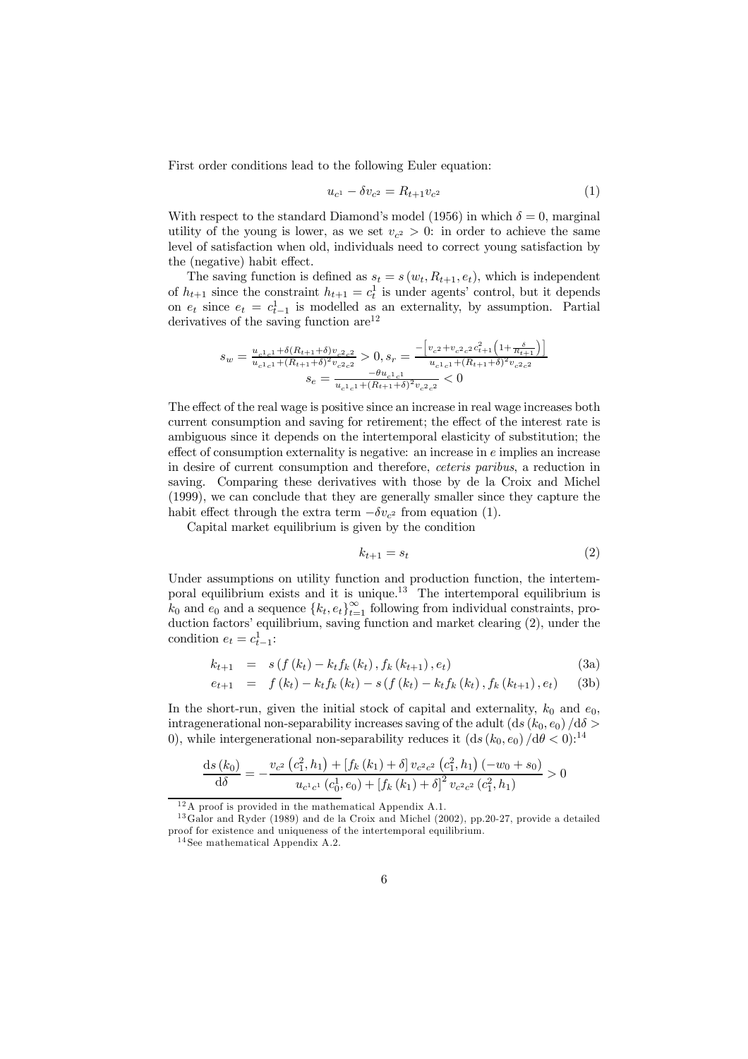First order conditions lead to the following Euler equation:

$$
u_{c^1} - \delta v_{c^2} = R_{t+1} v_{c^2} \tag{1}
$$

With respect to the standard Diamond's model (1956) in which  $\delta = 0$ , marginal utility of the young is lower, as we set  $v_{c^2} > 0$ : in order to achieve the same level of satisfaction when old, individuals need to correct young satisfaction by the (negative) habit effect.

The saving function is defined as  $s_t = s(w_t, R_{t+1}, e_t)$ , which is independent of  $h_{t+1}$  since the constraint  $h_{t+1} = c_t^1$  is under agents' control, but it depends on  $e_t$  since  $e_t = c_{t-1}^1$  is modelled as an externality, by assumption. Partial derivatives of the saving function  $\rm{are}^{12}$ 

$$
s_w = \frac{u_{c^1c^1} + \delta(R_{t+1} + \delta)v_{c^2c^2}}{u_{c^1c^1} + (R_{t+1} + \delta)^2 v_{c^2c^2}} > 0, s_r = \frac{-\left[v_{c^2} + v_{c^2c^2}c_{t+1}^2 \left(1 + \frac{\delta}{R_{t+1}}\right)\right]}{u_{c^1c^1} + (R_{t+1} + \delta)^2 v_{c^2c^2}}
$$

$$
s_e = \frac{-\theta u_{c^1c^1}}{u_{c^1c^1} + (R_{t+1} + \delta)^2 v_{c^2c^2}} < 0
$$

The effect of the real wage is positive since an increase in real wage increases both current consumption and saving for retirement; the effect of the interest rate is ambiguous since it depends on the intertemporal elasticity of substitution; the effect of consumption externality is negative: an increase in  $e$  implies an increase in desire of current consumption and therefore, ceteris paribus, a reduction in saving. Comparing these derivatives with those by de la Croix and Michel (1999), we can conclude that they are generally smaller since they capture the habit effect through the extra term  $-\delta v_{c^2}$  from equation (1).

Capital market equilibrium is given by the condition

$$
k_{t+1} = s_t \tag{2}
$$

Under assumptions on utility function and production function, the intertemporal equilibrium exists and it is unique.<sup>13</sup> The intertemporal equilibrium is  $k_0$  and  $e_0$  and a sequence  ${k_t, e_t}_{t=1}^{\infty}$  following from individual constraints, production factors' equilibrium, saving function and market clearing (2), under the condition  $e_t = c_{t-1}^1$ :

$$
k_{t+1} = s(f(k_t) - k_t f_k(k_t), f_k(k_{t+1}), e_t)
$$
\n(3a)

$$
e_{t+1} = f(k_t) - k_t f_k(k_t) - s(f(k_t) - k_t f_k(k_t), f_k(k_{t+1}), e_t)
$$
 (3b)

In the short-run, given the initial stock of capital and externality,  $k_0$  and  $e_0$ , intragemerational non-separability increases saving of the adult  $(ds (k_0, e_0) / d\delta >$ 0), while intergenerational non-separability reduces it  $(ds (k_0, e_0) / d\theta < 0)^{14}$ 

$$
\frac{\mathrm{d}s(k_0)}{\mathrm{d}\delta} = -\frac{v_{c^2}(c_1^2, h_1) + [f_k(k_1) + \delta] v_{c^2 c^2} (c_1^2, h_1) (-w_0 + s_0)}{u_{c^1 c^1} (c_0^1, e_0) + [f_k(k_1) + \delta]^2 v_{c^2 c^2} (c_1^2, h_1)} > 0
$$

 $12A$  proof is provided in the mathematical Appendix A.1.

 $^{13}$ Galor and Ryder (1989) and de la Croix and Michel (2002), pp.20-27, provide a detailed proof for existence and uniqueness of the intertemporal equilibrium.

 $14$  See mathematical Appendix A.2.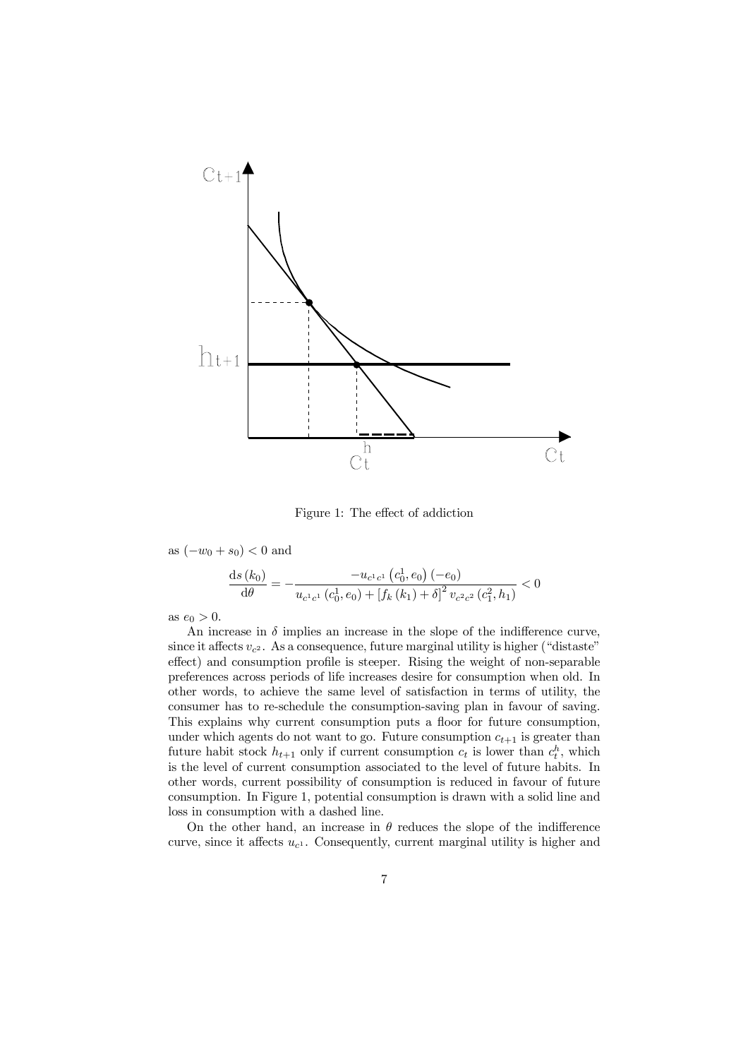

Figure 1: The effect of addiction

as  $(-w_0 + s_0) < 0$  and

$$
\frac{\mathrm{d}s(k_0)}{\mathrm{d}\theta} = -\frac{-u_{c^1c^1}\left(c_0^1, e_0\right)(-e_0)}{u_{c^1c^1}\left(c_0^1, e_0\right) + \left[f_k\left(k_1\right) + \delta\right]^2 v_{c^2c^2}\left(c_1^2, h_1\right)} < 0
$$

as  $e_0 > 0$ .

An increase in  $\delta$  implies an increase in the slope of the indifference curve, since it affects  $v_{c^2}$ . As a consequence, future marginal utility is higher ("distaste" effect) and consumption profile is steeper. Rising the weight of non-separable preferences across periods of life increases desire for consumption when old. In other words, to achieve the same level of satisfaction in terms of utility, the consumer has to re-schedule the consumption-saving plan in favour of saving. This explains why current consumption puts a floor for future consumption, under which agents do not want to go. Future consumption  $c_{t+1}$  is greater than future habit stock  $h_{t+1}$  only if current consumption  $c_t$  is lower than  $c_t^h$ , which is the level of current consumption associated to the level of future habits. In other words, current possibility of consumption is reduced in favour of future consumption. In Figure 1, potential consumption is drawn with a solid line and loss in consumption with a dashed line.

On the other hand, an increase in  $\theta$  reduces the slope of the indifference curve, since it affects  $u_{c}$ . Consequently, current marginal utility is higher and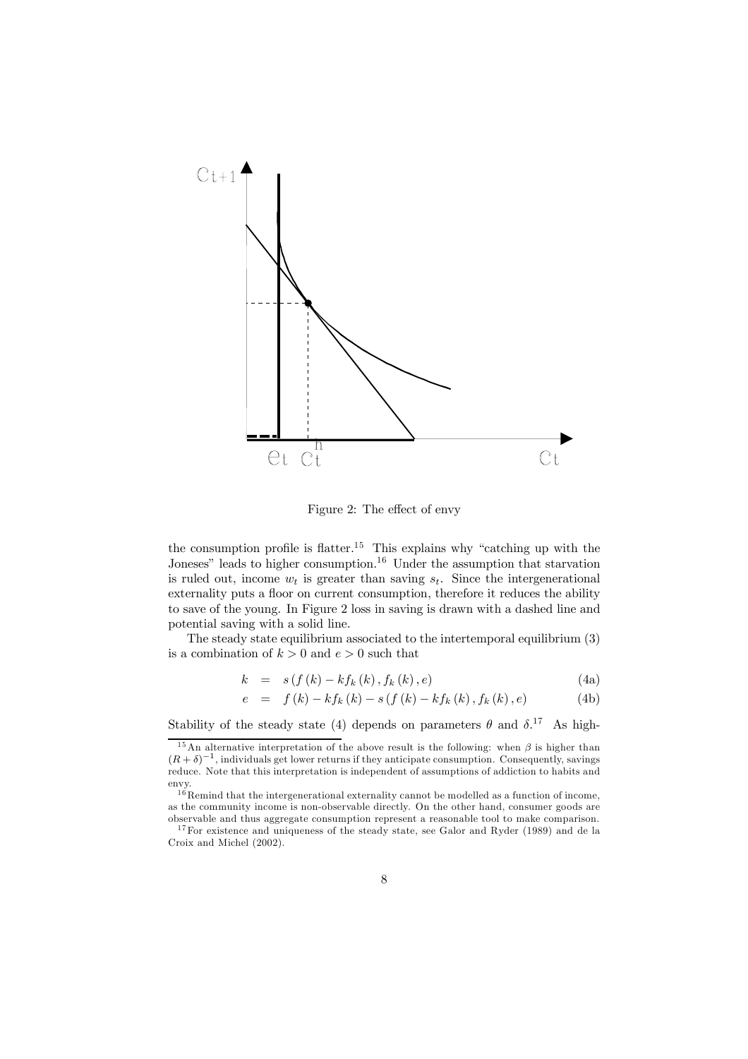

Figure 2: The effect of envy

the consumption profile is flatter.<sup>15</sup> This explains why "catching up with the Joneses" leads to higher consumption.<sup>16</sup> Under the assumption that starvation is ruled out, income  $w_t$  is greater than saving  $s_t$ . Since the intergenerational externality puts a floor on current consumption, therefore it reduces the ability to save of the young. In Figure 2 loss in saving is drawn with a dashed line and potential saving with a solid line.

The steady state equilibrium associated to the intertemporal equilibrium  $(3)$ is a combination of  $k > 0$  and  $e > 0$  such that

$$
k = s(f(k) - kf_k(k), f_k(k), e)
$$
\n
$$
(4a)
$$

$$
e = f(k) - kf_k(k) - s(f(k) - kf_k(k), f_k(k), e)
$$
 (4b)

Stability of the steady state (4) depends on parameters  $\theta$  and  $\delta$ .<sup>17</sup> As high-

<sup>&</sup>lt;sup>15</sup>An alternative interpretation of the above result is the following: when  $\beta$  is higher than  $(R+\delta)^{-1}$ , individuals get lower returns if they anticipate consumption. Consequently, savings reduce. Note that this interpretation is independent of assumptions of addiction to habits and envy.

 $16$  Remind that the intergenerational externality cannot be modelled as a function of income, as the community income is non-observable directly. On the other hand, consumer goods are observable and thus aggregate consumption represent a reasonable tool to make comparison.

 $17$  For existence and uniqueness of the steady state, see Galor and Ryder (1989) and de la Croix and Michel (2002).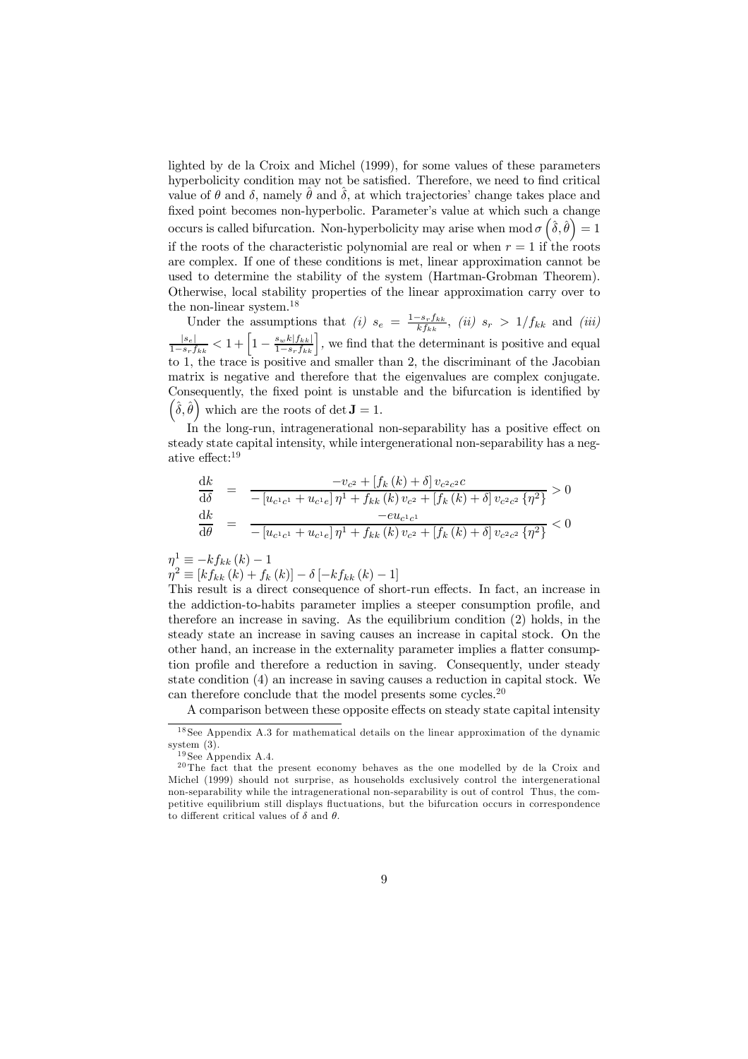lighted by de la Croix and Michel (1999), for some values of these parameters hyperbolicity condition may not be satisfied. Therefore, we need to find critical value of  $\theta$  and  $\delta$ , namely  $\hat{\theta}$  and  $\delta$ , at which trajectories' change takes place and fixed point becomes non-hyperbolic. Parameter's value at which such a change occurs is called bifurcation. Non-hyperbolicity may arise when mod  $\sigma\left(\hat{\delta},\hat{\theta}\right)=1$ if the roots of the characteristic polynomial are real or when  $r = 1$  if the roots are complex. If one of these conditions is met, linear approximation cannot be used to determine the stability of the system (Hartman-Grobman Theorem). Otherwise, local stability properties of the linear approximation carry over to the non-linear system. $^{18}$ 

Under the assumptions that (i)  $s_e = \frac{1 - s_r f_{kk}}{k f_{kk}}$ , (ii)  $s_r > 1/f_{kk}$  and (iii)<br> $\frac{|s_e|}{1 - s_r f_{kk}} < 1 + \left[1 - \frac{s_w k |f_{kk}|}{1 - s_r f_{kk}}\right]$ , we find that the determinant is positive and equal<br>to 1, the trace is positive and smalle matrix is negative and therefore that the eigenvalues are complex conjugate. Consequently, the fixed point is unstable and the bifurcation is identified by  $(\hat{\delta}, \hat{\theta})$  which are the roots of det **J** = 1.

In the long-run, intragenerational non-separability has a positive effect on steady state capital intensity, while intergenerational non-separability has a negative effect: $19$ 

$$
\frac{dk}{d\delta} = \frac{-v_{c^2} + [f_k(k) + \delta] v_{c^2 c^2} c}{- [u_{c^1 c^1} + u_{c^1 e}] \eta^1 + f_{k k}(k) v_{c^2} + [f_k(k) + \delta] v_{c^2 c^2} \{\eta^2\}} > 0
$$
\n
$$
\frac{dk}{d\theta} = \frac{-e u_{c^1 c^1}}{- [u_{c^1 c^1} + u_{c^1 e}] \eta^1 + f_{k k}(k) v_{c^2} + [f_k(k) + \delta] v_{c^2 c^2} \{\eta^2\}} < 0
$$

 $\eta^1 \equiv -k f_{kk} (k) - 1$ 

$$
\eta^{2} \equiv [kf_{kk}(k) + f_{k}(k)] - \delta [-kf_{kk}(k) - 1]
$$

This result is a direct consequence of short-run effects. In fact, an increase in the addiction-to-habits parameter implies a steeper consumption profile, and therefore an increase in saving. As the equilibrium condition  $(2)$  holds, in the steady state an increase in saving causes an increase in capital stock. On the other hand, an increase in the externality parameter implies a flatter consumption profile and therefore a reduction in saving. Consequently, under steady state condition (4) an increase in saving causes a reduction in capital stock. We can therefore conclude that the model presents some cycles.<sup>20</sup>

A comparison between these opposite effects on steady state capital intensity

 $18$  See Appendix A.3 for mathematical details on the linear approximation of the dynamic system  $(3)$ .

 $^{19}\mathrm{See}$  Appendix A.4.

 $^{20}$ The fact that the present economy behaves as the one modelled by de la Croix and Michel (1999) should not surprise, as households exclusively control the intergenerational non-separability while the intragenerational non-separability is out of control Thus, the competitive equilibrium still displays fluctuations, but the bifurcation occurs in correspondence to different critical values of  $\delta$  and  $\theta$ .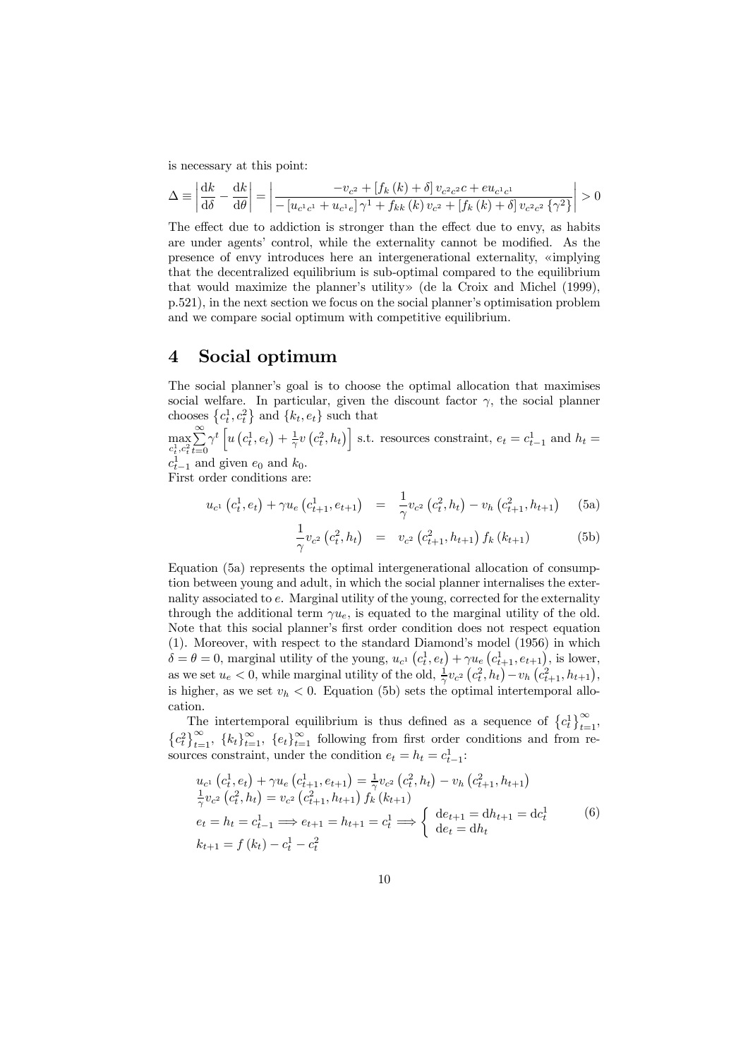is necessary at this point:

$$
\Delta \equiv \left| \frac{dk}{d\delta} - \frac{dk}{d\theta} \right| = \left| \frac{-v_{c^2} + [f_k(k) + \delta] v_{c^2 c^2} - i v_{c^1 c^1}}{-[u_{c^1 c^1} + u_{c^1 e}] \gamma^1 + f_{k k}(k) v_{c^2} + [f_k(k) + \delta] v_{c^2 c^2} \{\gamma^2\}} \right| > 0
$$

The effect due to addiction is stronger than the effect due to envy, as habits are under agents' control, while the externality cannot be modified. As the presence of envy introduces here an intergenerational externality, «implying that the decentralized equilibrium is sub-optimal compared to the equilibrium that would maximize the planner's utility» (de la Croix and Michel (1999), p.521), in the next section we focus on the social planner's optimisation problem and we compare social optimum with competitive equilibrium.

### Social optimum  $\boldsymbol{4}$

The social planner's goal is to choose the optimal allocation that maximises social welfare. In particular, given the discount factor  $\gamma$ , the social planner chooses  ${c_t^1, c_t^2}$  and  ${k_t, e_t}$  such that

 $\max_{c_t^1,c_t^2}\sum_{t=0}^{\infty}\gamma^t\left[u\left(c_t^1,e_t\right)+\frac{1}{\gamma}v\left(c_t^2,h_t\right)\right]$  s.t. resources constraint,  $e_t=c_{t-1}^1$  and  $h_t=c_{t-1}^1$  and given  $e_0$  and  $k_0$ .

First order conditions are:

$$
u_{c1} (c_t^1, e_t) + \gamma u_e (c_{t+1}^1, e_{t+1}) = \frac{1}{\gamma} v_{c2} (c_t^2, h_t) - v_h (c_{t+1}^2, h_{t+1})
$$
 (5a)

$$
\frac{1}{\gamma}v_{c^2}\left(c_t^2, h_t\right) = v_{c^2}\left(c_{t+1}^2, h_{t+1}\right)f_k\left(k_{t+1}\right) \tag{5b}
$$

Equation (5a) represents the optimal intergenerational allocation of consumption between young and adult, in which the social planner internalises the externality associated to  $e$ . Marginal utility of the young, corrected for the externality through the additional term  $\gamma u_e$ , is equated to the marginal utility of the old. Note that this social planner's first order condition does not respect equation  $(1)$ . Moreover, with respect to the standard Diamond's model  $(1956)$  in which  $\delta = \theta = 0$ , marginal utility of the young,  $u_{c}$   $(c_t^1, e_t) + \gamma u_e (c_{t+1}^1, e_{t+1})$ , is lower, as we set  $u_e < 0$ , while marginal utility of the old,  $\frac{1}{\gamma}v_{c^2}(c_t^2, h_t) - v_h(c_{t+1}^2, h_{t+1}),$ is higher, as we set  $v_h < 0$ . Equation (5b) sets the optimal intertemporal allocation.

The intertemporal equilibrium is thus defined as a sequence of  ${c_t^1}_{t=1}^{\infty}$ ,  ${c_t^2}_{t=1}^{\infty}$ ,  ${k_t}_{t=1}^{\infty}$ ,  ${e_t}_{t=1}^{\infty}$  following from first order conditions and from resources constraint, under the condition  $e_t = h_t = c_{t-1}^1$ :

$$
u_{c1} (c_t^1, e_t) + \gamma u_e (c_{t+1}^1, e_{t+1}) = \frac{1}{\gamma} v_{c2} (c_t^2, h_t) - v_h (c_{t+1}^2, h_{t+1})
$$
  
\n
$$
\frac{1}{\gamma} v_{c2} (c_t^2, h_t) = v_{c2} (c_{t+1}^2, h_{t+1}) f_k (k_{t+1})
$$
  
\n
$$
e_t = h_t = c_{t-1}^1 \Longrightarrow e_{t+1} = h_{t+1} = c_t^1 \Longrightarrow \begin{cases} de_{t+1} = dh_{t+1} = dc_t^1 \\ de_t = dh_t \end{cases}
$$
 (6)  
\n
$$
k_{t+1} = f (k_t) - c_t^1 - c_t^2
$$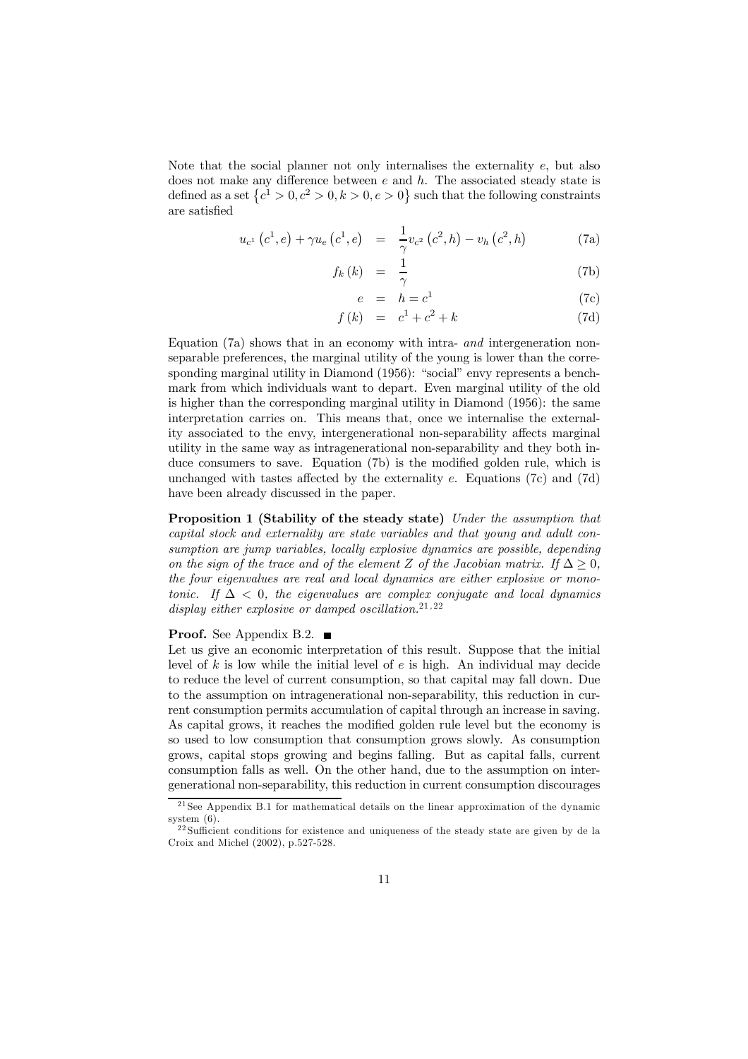Note that the social planner not only internalises the externality e, but also does not make any difference between  $e$  and  $h$ . The associated steady state is defined as a set  $\{c^1 > 0, c^2 > 0, k > 0, e > 0\}$  such that the following constraints are satisfied

$$
u_{c^{1}}(c^{1}, e) + \gamma u_{e}(c^{1}, e) = \frac{1}{\gamma} v_{c^{2}}(c^{2}, h) - v_{h}(c^{2}, h)
$$
 (7a)

$$
f_k(k) = \frac{1}{\gamma} \tag{7b}
$$

$$
e = h = c^1 \tag{7c}
$$

$$
f(k) = c1 + c2 + k
$$
 (7d)

Equation (7a) shows that in an economy with intra- and intergeneration nonseparable preferences, the marginal utility of the young is lower than the corresponding marginal utility in Diamond (1956): "social" envy represents a benchmark from which individuals want to depart. Even marginal utility of the old is higher than the corresponding marginal utility in Diamond (1956): the same interpretation carries on. This means that, once we internalise the externality associated to the envy, intergenerational non-separability affects marginal utility in the same way as intragementional non-separability and they both induce consumers to save. Equation (7b) is the modified golden rule, which is unchanged with tastes affected by the externality  $e$ . Equations (7c) and (7d) have been already discussed in the paper.

**Proposition 1 (Stability of the steady state)** Under the assumption that capital stock and externality are state variables and that young and adult consumption are jump variables, locally explosive dynamics are possible, depending on the sign of the trace and of the element Z of the Jacobian matrix. If  $\Delta > 0$ , the four eigenvalues are real and local dynamics are either explosive or monotonic. If  $\Delta$  < 0, the eigenvalues are complex conjugate and local dynamics display either explosive or damped oscillation.<sup>21,22</sup>

### **Proof.** See Appendix B.2.  $\blacksquare$

Let us give an economic interpretation of this result. Suppose that the initial level of  $k$  is low while the initial level of  $e$  is high. An individual may decide to reduce the level of current consumption, so that capital may fall down. Due to the assumption on intragenerational non-separability, this reduction in current consumption permits accumulation of capital through an increase in saving. As capital grows, it reaches the modified golden rule level but the economy is so used to low consumption that consumption grows slowly. As consumption grows, capital stops growing and begins falling. But as capital falls, current consumption falls as well. On the other hand, due to the assumption on intergenerational non-separability, this reduction in current consumption discourages

<sup>&</sup>lt;sup>21</sup> See Appendix B.1 for mathematical details on the linear approximation of the dynamic system  $(6)$ .

<sup>&</sup>lt;sup>22</sup>Sufficient conditions for existence and uniqueness of the steady state are given by de la Croix and Michel (2002), p.527-528.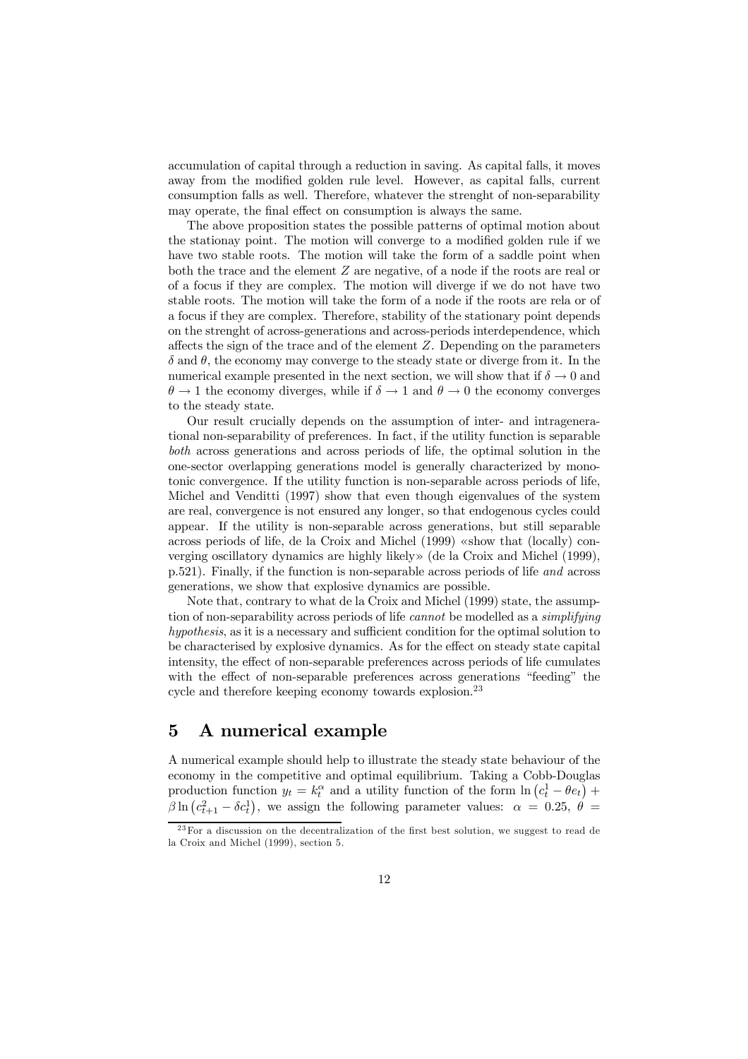accumulation of capital through a reduction in saving. As capital falls, it moves away from the modified golden rule level. However, as capital falls, current consumption falls as well. Therefore, whatever the strenght of non-separability may operate, the final effect on consumption is always the same.

The above proposition states the possible patterns of optimal motion about the stationary point. The motion will converge to a modified golden rule if we have two stable roots. The motion will take the form of a saddle point when both the trace and the element  $Z$  are negative, of a node if the roots are real or of a focus if they are complex. The motion will diverge if we do not have two stable roots. The motion will take the form of a node if the roots are rela or of a focus if they are complex. Therefore, stability of the stationary point depends on the strenght of across-generations and across-periods interdependence, which affects the sign of the trace and of the element  $Z$ . Depending on the parameters  $\delta$  and  $\theta$ , the economy may converge to the steady state or diverge from it. In the numerical example presented in the next section, we will show that if  $\delta \to 0$  and  $\theta \to 1$  the economy diverges, while if  $\delta \to 1$  and  $\theta \to 0$  the economy converges to the steady state.

Our result crucially depends on the assumption of inter- and intragenerational non-separability of preferences. In fact, if the utility function is separable both across generations and across periods of life, the optimal solution in the one-sector overlapping generations model is generally characterized by monotonic convergence. If the utility function is non-separable across periods of life, Michel and Venditti (1997) show that even though eigenvalues of the system are real, convergence is not ensured any longer, so that endogenous cycles could appear. If the utility is non-separable across generations, but still separable across periods of life, de la Croix and Michel (1999) «show that (locally) converging oscillatory dynamics are highly likely » (de la Croix and Michel (1999), p.521). Finally, if the function is non-separable across periods of life and across generations, we show that explosive dynamics are possible.

Note that, contrary to what de la Croix and Michel (1999) state, the assumption of non-separability across periods of life *cannot* be modelled as a *simplifying* hypothesis, as it is a necessary and sufficient condition for the optimal solution to be characterised by explosive dynamics. As for the effect on steady state capital intensity, the effect of non-separable preferences across periods of life cumulates with the effect of non-separable preferences across generations "feeding" the cycle and therefore keeping economy towards explosion.<sup>23</sup>

### $\bf{5}$ A numerical example

A numerical example should help to illustrate the steady state behaviour of the economy in the competitive and optimal equilibrium. Taking a Cobb-Douglas production function  $y_t = k_t^{\alpha}$  and a utility function of the form  $\ln (c_t^1 - \theta e_t)$  +  $\beta \ln (c_{t+1}^2 - \delta c_t^1)$ , we assign the following parameter values:  $\alpha = 0.25, \ \theta =$ 

 $23$  For a discussion on the decentralization of the first best solution, we suggest to read de la Croix and Michel (1999), section 5.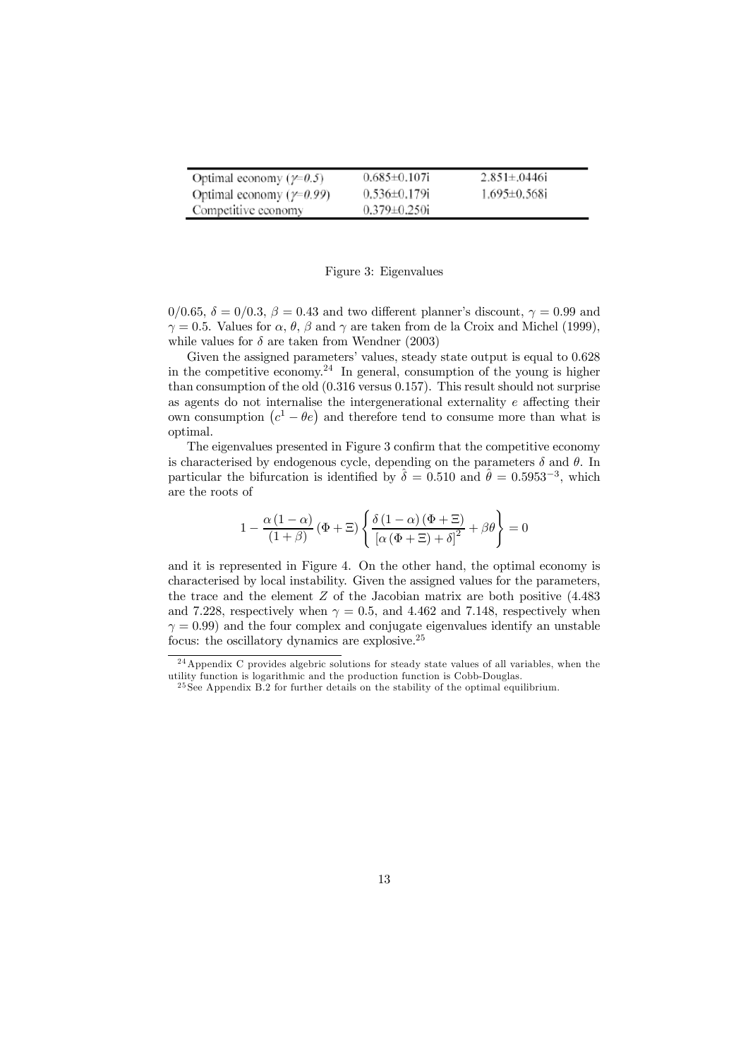| Optimal economy ( $\gamma$ =0.5)  | $0.685 \pm 0.107$ i | $2.851 \pm 0.0446$ i |
|-----------------------------------|---------------------|----------------------|
| Optimal economy ( $\gamma$ =0.99) | $0.536 \pm 0.179$ i | $1.695 \pm 0.568$ i  |
| Competitive economy               | $0.379 \pm 0.250$ i |                      |

### Figure 3: Eigenvalues

 $0/0.65$ ,  $\delta = 0/0.3$ ,  $\beta = 0.43$  and two different planner's discount,  $\gamma = 0.99$  and  $\gamma = 0.5$ . Values for  $\alpha$ ,  $\theta$ ,  $\beta$  and  $\gamma$  are taken from de la Croix and Michel (1999), while values for  $\delta$  are taken from Wendner (2003)

Given the assigned parameters' values, steady state output is equal to 0.628 in the competitive economy.<sup>24</sup> In general, consumption of the young is higher than consumption of the old  $(0.316 \text{ versus } 0.157)$ . This result should not surprise as agents do not internalise the intergenerational externality  $e$  affecting their own consumption  $(c^1 - \theta e)$  and therefore tend to consume more than what is optimal.

The eigenvalues presented in Figure 3 confirm that the competitive economy is characterised by endogenous cycle, depending on the parameters  $\delta$  and  $\theta$ . In particular the bifurcation is identified by  $\hat{\delta} = 0.510$  and  $\hat{\theta} = 0.5953^{-3}$ , which are the roots of

$$
1 - \frac{\alpha (1 - \alpha)}{(1 + \beta)} (\Phi + \Xi) \left\{ \frac{\delta (1 - \alpha) (\Phi + \Xi)}{\left[ \alpha (\Phi + \Xi) + \delta \right]^2} + \beta \theta \right\} = 0
$$

and it is represented in Figure 4. On the other hand, the optimal economy is characterised by local instability. Given the assigned values for the parameters, the trace and the element  $Z$  of the Jacobian matrix are both positive  $(4.483)$ and 7.228, respectively when  $\gamma = 0.5$ , and 4.462 and 7.148, respectively when  $\gamma = 0.99$ ) and the four complex and conjugate eigenvalues identify an unstable focus: the oscillatory dynamics are explosive.<sup>25</sup>

 $^{24}$  Appendix C provides algebric solutions for steady state values of all variables, when the utility function is logarithmic and the production function is Cobb-Douglas.

 $^{25}$ See Appendix B.2 for further details on the stability of the optimal equilibrium.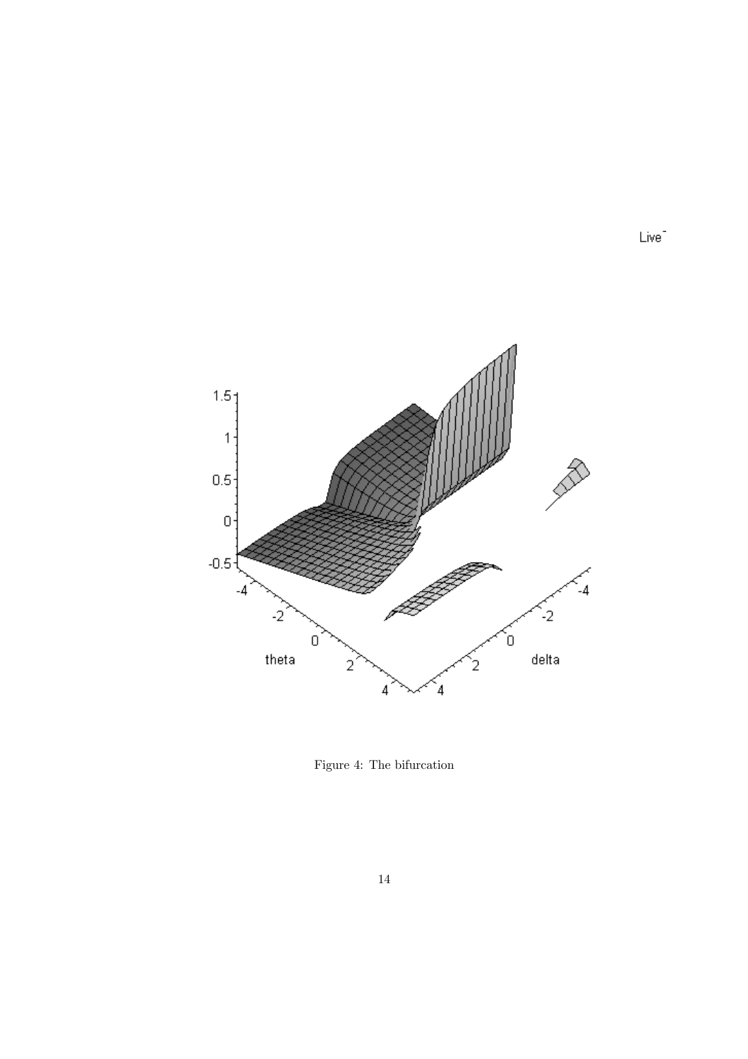

Figure 4: The bifurcation

Live<sup>-</sup>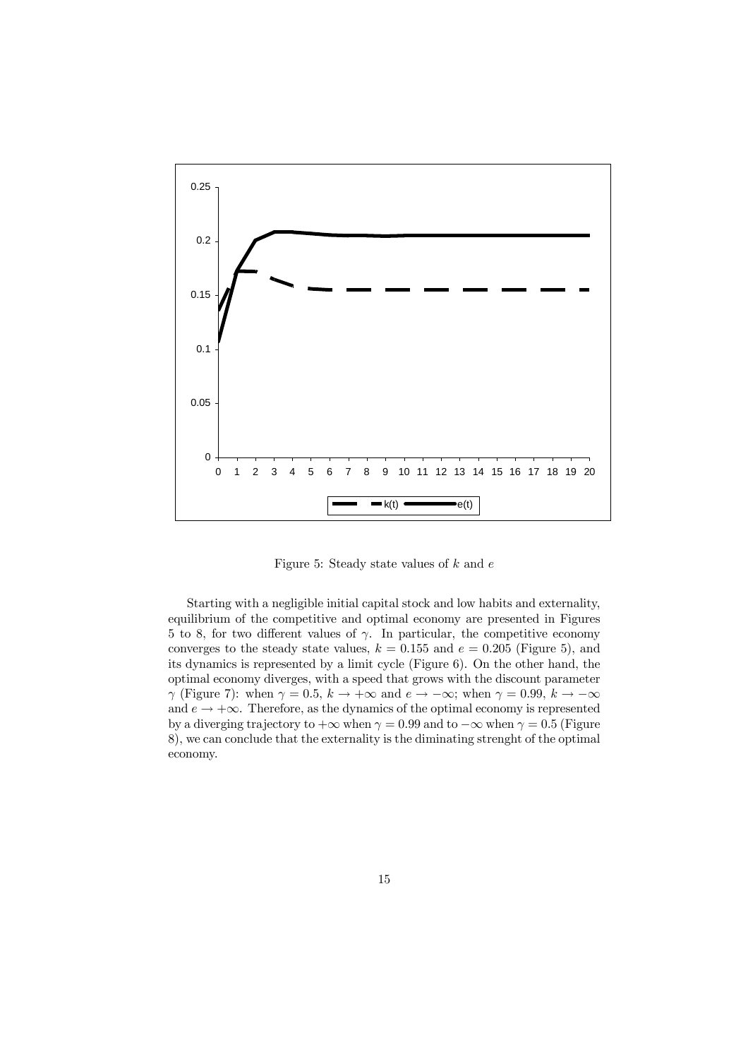

Figure 5: Steady state values of  $k$  and  $e$ 

Starting with a negligible initial capital stock and low habits and externality, equilibrium of the competitive and optimal economy are presented in Figures 5 to 8, for two different values of  $\gamma$ . In particular, the competitive economy converges to the steady state values,  $k = 0.155$  and  $e = 0.205$  (Figure 5), and its dynamics is represented by a limit cycle (Figure 6). On the other hand, the optimal economy diverges, with a speed that grows with the discount parameter  $\gamma$  (Figure 7): when  $\gamma = 0.5$ ,  $k \to +\infty$  and  $e \to -\infty$ ; when  $\gamma = 0.99$ ,  $k \to -\infty$ and  $e \rightarrow +\infty$ . Therefore, as the dynamics of the optimal economy is represented by a diverging trajectory to  $+\infty$  when  $\gamma = 0.99$  and to  $-\infty$  when  $\gamma = 0.5$  (Figure 8), we can conclude that the externality is the diminating strenght of the optimal economy.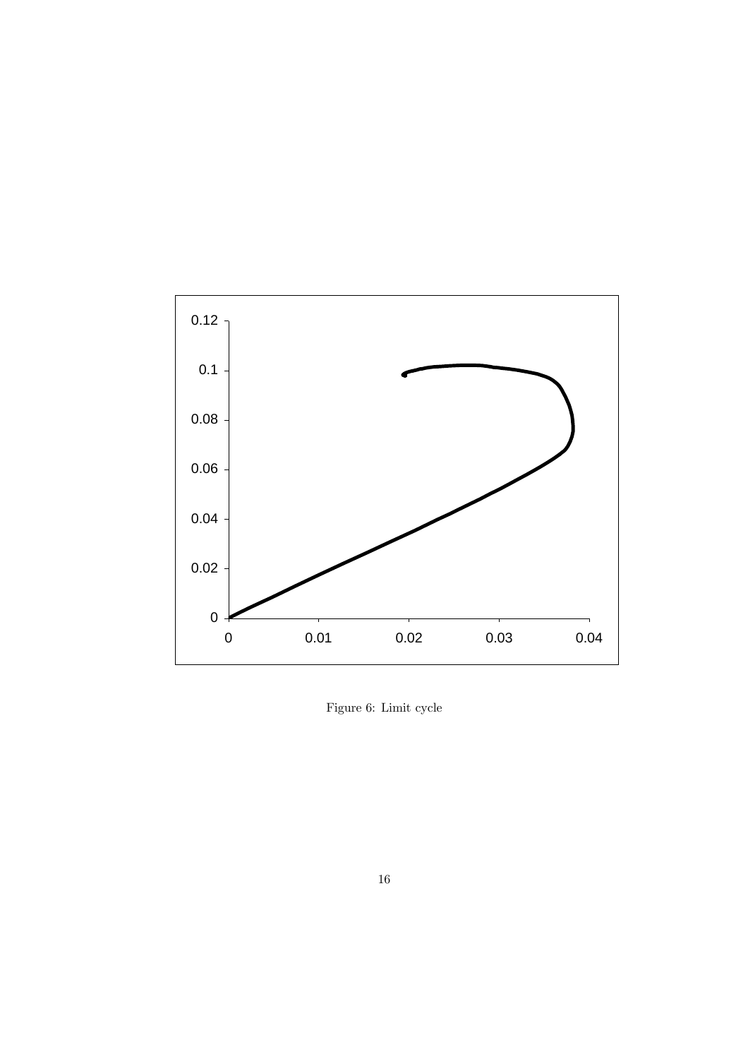

Figure 6: Limit cycle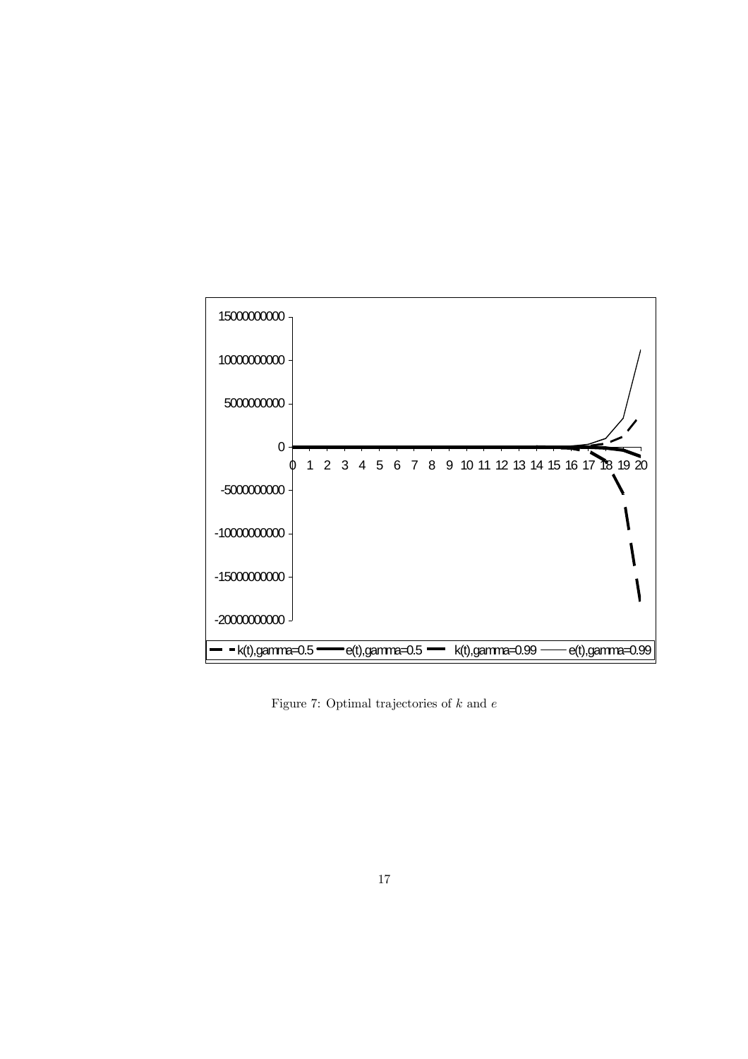

Figure 7: Optimal trajectories of  $k$  and  $e$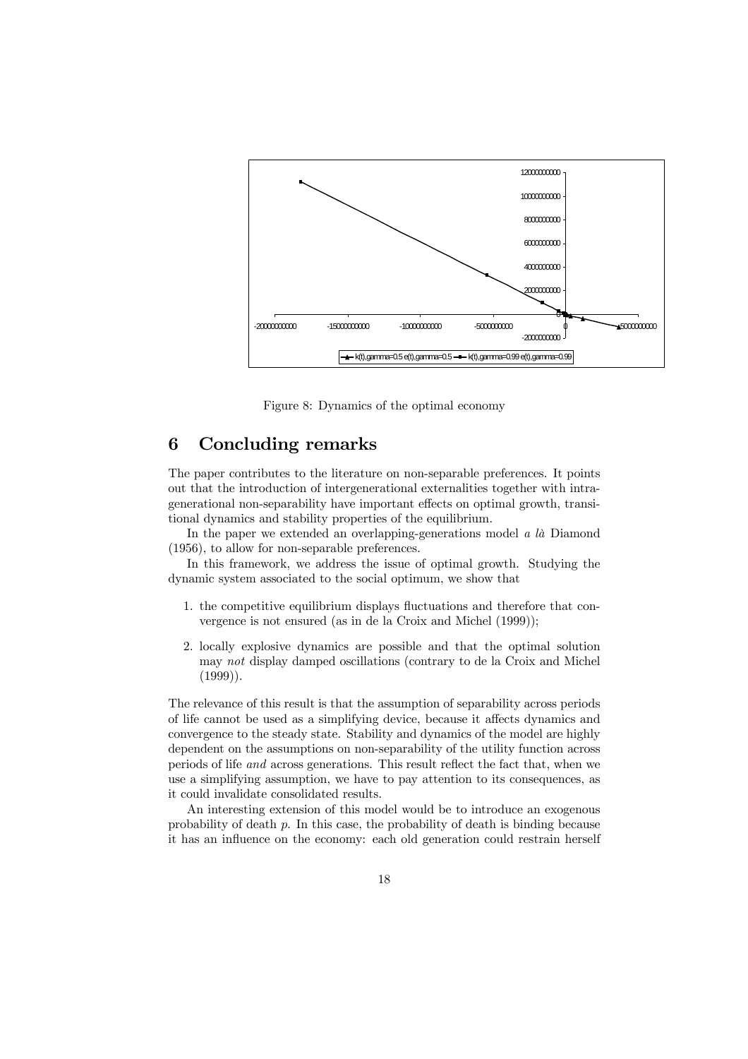

Figure 8: Dynamics of the optimal economy

### 6 **Concluding remarks**

The paper contributes to the literature on non-separable preferences. It points out that the introduction of intergenerational externalities together with intragenerational non-separability have important effects on optimal growth, transitional dynamics and stability properties of the equilibrium.

In the paper we extended an overlapping-generations model  $a \, l\dot{a}$  Diamond  $(1956)$ , to allow for non-separable preferences.

In this framework, we address the issue of optimal growth. Studying the dynamic system associated to the social optimum, we show that

- 1. the competitive equilibrium displays fluctuations and therefore that convergence is not ensured (as in de la Croix and Michel (1999));
- 2. locally explosive dynamics are possible and that the optimal solution may not display damped oscillations (contrary to de la Croix and Michel  $(1999)$ ).

The relevance of this result is that the assumption of separability across periods of life cannot be used as a simplifying device, because it affects dynamics and convergence to the steady state. Stability and dynamics of the model are highly dependent on the assumptions on non-separability of the utility function across periods of life *and* across generations. This result reflect the fact that, when we use a simplifying assumption, we have to pay attention to its consequences, as it could invalidate consolidated results.

An interesting extension of this model would be to introduce an exogenous probability of death  $p$ . In this case, the probability of death is binding because it has an influence on the economy: each old generation could restrain herself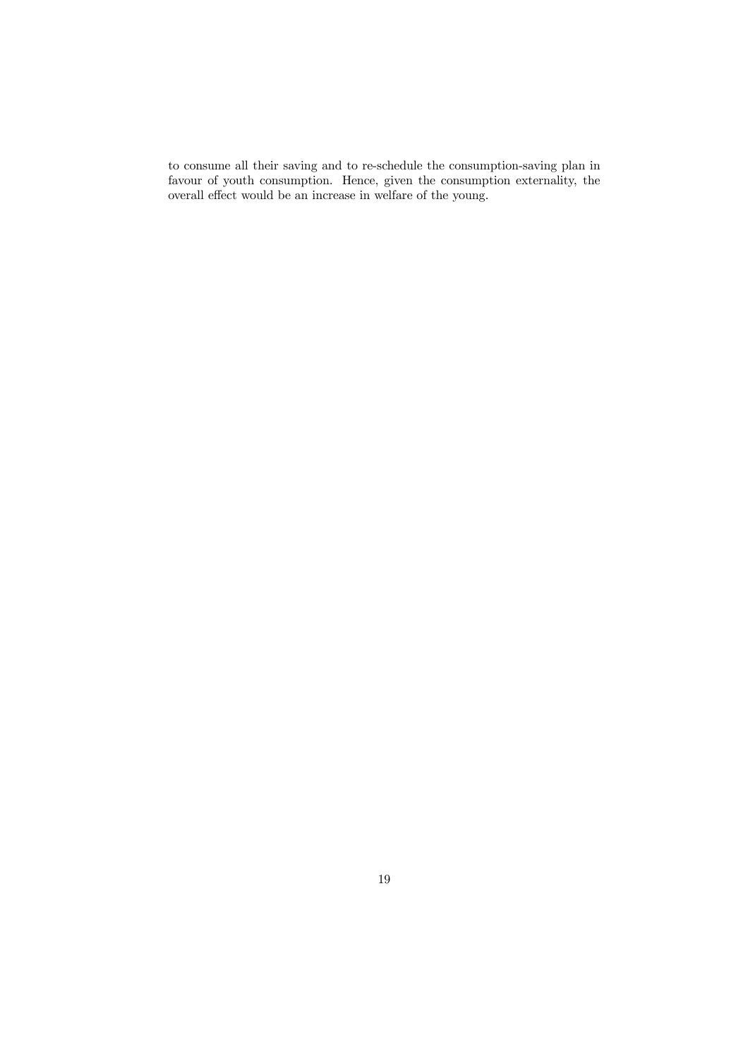to consume all their saving and to re-schedule the consumption-saving plan in favour of youth consumption. Hence, given the consumption externality, the overall effect would be an increase in welfare of the young.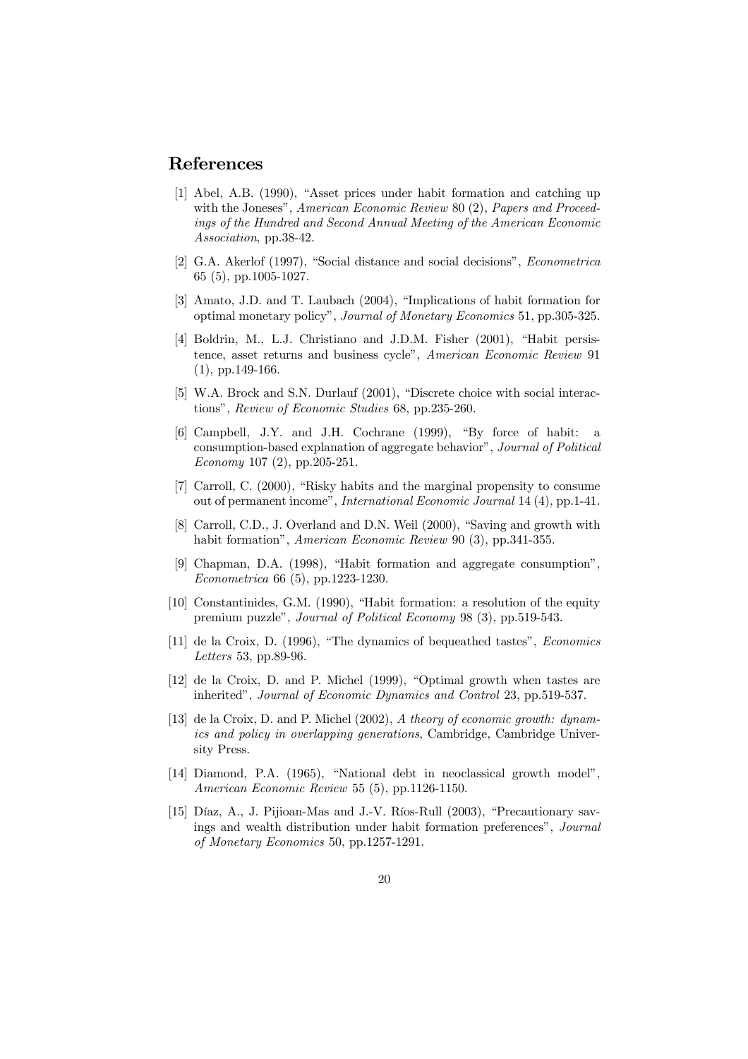## References

- [1] Abel, A.B. (1990), "Asset prices under habit formation and catching up with the Joneses", American Economic Review 80 (2), Papers and Proceedings of the Hundred and Second Annual Meeting of the American Economic Association, pp.38-42.
- [2] G.A. Akerlof (1997), "Social distance and social decisions", *Econometrica*  $65(5)$ , pp.1005-1027.
- [3] Amato, J.D. and T. Laubach (2004), "Implications of habit formation for optimal monetary policy", Journal of Monetary Economics 51, pp.305-325.
- [4] Boldrin, M., L.J. Christiano and J.D.M. Fisher (2001), "Habit persistence, asset returns and business cycle", American Economic Review 91  $(1)$ , pp. 149-166.
- [5] W.A. Brock and S.N. Durlauf (2001). "Discrete choice with social interactions", Review of Economic Studies 68, pp.235-260.
- [6] Campbell, J.Y. and J.H. Cochrane (1999), "By force of habit: a consumption-based explanation of aggregate behavior", Journal of Political Economy 107  $(2)$ , pp.205-251.
- [7] Carroll, C. (2000), "Risky habits and the marginal propensity to consume out of permanent income", International Economic Journal 14 (4), pp.1-41.
- [8] Carroll, C.D., J. Overland and D.N. Weil (2000), "Saving and growth with habit formation", American Economic Review 90 (3), pp.341-355.
- [9] Chapman, D.A. (1998), "Habit formation and aggregate consumption", Econometrica 66 (5), pp.1223-1230.
- [10] Constantinides, G.M. (1990). "Habit formation: a resolution of the equity premium puzzle", *Journal of Political Economy* 98 (3), pp.519-543.
- [11] de la Croix, D. (1996), "The dynamics of bequeathed tastes", *Economics* Letters 53, pp.89-96.
- [12] de la Croix, D. and P. Michel (1999), "Optimal growth when tastes are inherited", Journal of Economic Dynamics and Control 23, pp.519-537.
- [13] de la Croix, D. and P. Michel  $(2002)$ , A theory of economic growth: dynamics and policy in overlapping generations, Cambridge, Cambridge University Press.
- [14] Diamond, P.A. (1965). "National debt in neoclassical growth model". American Economic Review 55 (5), pp.1126-1150.
- [15] Díaz, A., J. Piijoan-Mas and J.-V. Ríos-Rull (2003). "Precautionary sayings and wealth distribution under habit formation preferences". Journal of Monetary Economics 50, pp.1257-1291.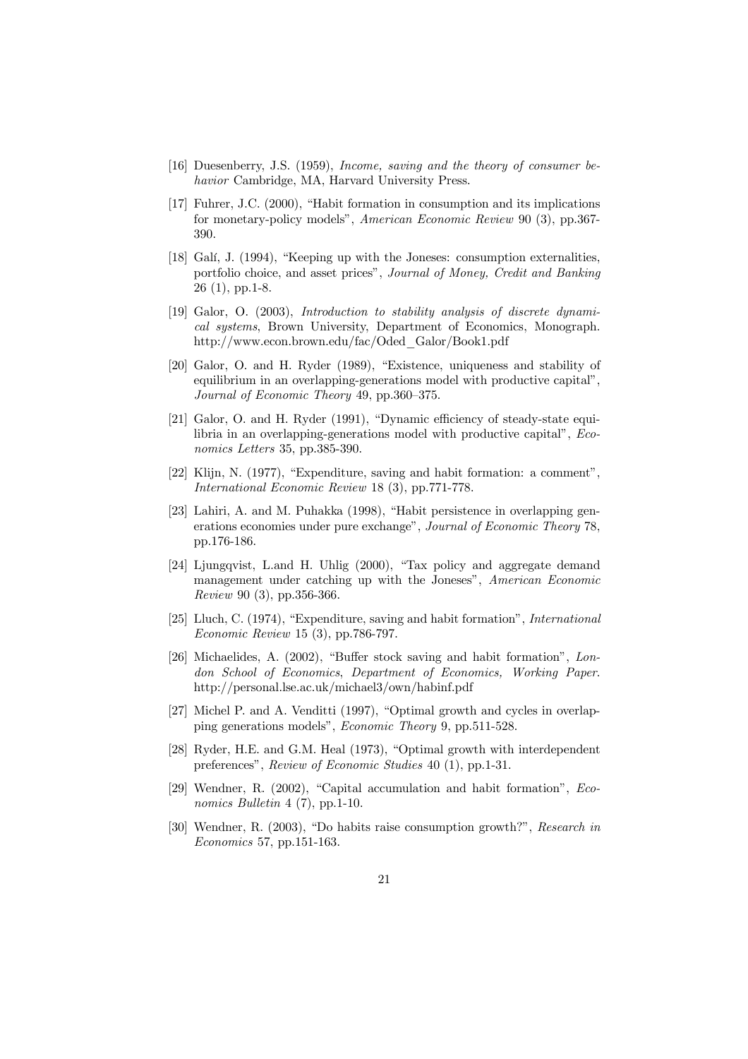- [16] Duesenberry, J.S. (1959), *Income, saving and the theory of consumer be*havior Cambridge, MA, Harvard University Press.
- [17] Fuhrer, J.C. (2000), "Habit formation in consumption and its implications for monetary-policy models", American Economic Review 90 (3), pp.367-390.
- [18] Gali, J. (1994), "Keeping up with the Joneses: consumption externalities, portfolio choice, and asset prices", Journal of Money, Credit and Banking  $26(1), pp.1-8.$
- [19] Galor, O. (2003), Introduction to stability analysis of discrete dynamical systems, Brown University, Department of Economics, Monograph. http://www.econ.brown.edu/fac/Oded Galor/Book1.pdf
- [20] Galor, O. and H. Ryder (1989), "Existence, uniqueness and stability of equilibrium in an overlapping-generations model with productive capital". Journal of Economic Theory 49, pp.360–375.
- [21] Galor, O. and H. Ryder (1991), "Dynamic efficiency of steady-state equilibria in an overlapping-generations model with productive capital", *Eco*nomics Letters 35, pp.385-390.
- [22] Klijn, N. (1977), "Expenditure, saving and habit formation: a comment", International Economic Review 18 (3), pp.771-778.
- [23] Lahiri, A. and M. Puhakka (1998), "Habit persistence in overlapping generations economies under pure exchange", Journal of Economic Theory 78. pp.176-186.
- [24] Ljungqvist, L.and H. Uhlig (2000), "Tax policy and aggregate demand management under catching up with the Joneses", American Economic Review 90 (3), pp.356-366.
- [25] Lluch, C. (1974), "Expenditure, saving and habit formation", *International Economic Review* 15 (3), pp.786-797.
- [26] Michaelides, A.  $(2002)$ . "Buffer stock saving and habit formation". London School of Economics, Department of Economics, Working Paper. http://personal.lse.ac.uk/michael3/own/habinf.pdf
- [27] Michel P. and A. Venditti (1997), "Optimal growth and cycles in overlapping generations models", *Economic Theory* 9, pp.511-528.
- [28] Ryder, H.E. and G.M. Heal (1973), "Optimal growth with interdependent preferences". Review of Economic Studies 40 (1), pp.1-31.
- [29] Wendner, R. (2002), "Capital accumulation and habit formation",  $Eco$ nomics Bulletin  $4(7)$ , pp.1-10.
- [30] Wendner, R. (2003), "Do habits raise consumption growth?", Research in *Economics* 57, pp.151-163.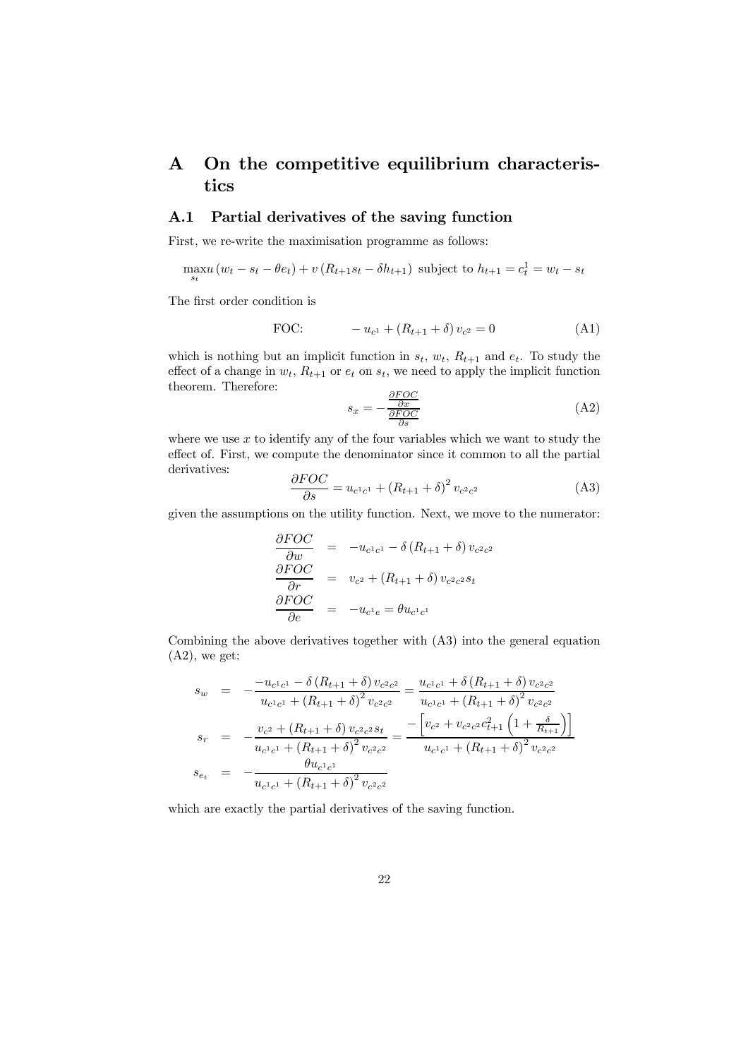## On the competitive equilibrium characteris- $\mathbf{A}$ tics

### Partial derivatives of the saving function  $A.1$

First, we re-write the maximisation programme as follows:

$$
\max_{s_t} u (w_t - s_t - \theta e_t) + v (R_{t+1} s_t - \delta h_{t+1})
$$
 subject to  $h_{t+1} = c_t^1 = w_t - s_t$ 

The first order condition is

FOC: 
$$
-u_{c^{1}} + (R_{t+1} + \delta)v_{c^{2}} = 0
$$
 (A1)

which is nothing but an implicit function in  $s_t$ ,  $w_t$ ,  $R_{t+1}$  and  $e_t$ . To study the effect of a change in  $w_t$ ,  $R_{t+1}$  or  $e_t$  on  $s_t$ , we need to apply the implicit function theorem. Therefore:

$$
s_x = -\frac{\frac{\partial FOC}{\partial x}}{\frac{\partial FOC}{\partial s}}\tag{A2}
$$

where we use  $x$  to identify any of the four variables which we want to study the effect of. First, we compute the denominator since it common to all the partial derivatives:

$$
\frac{\partial FOC}{\partial s} = u_{c^1 c^1} + (R_{t+1} + \delta)^2 v_{c^2 c^2}
$$
 (A3)

given the assumptions on the utility function. Next, we move to the numerator:

$$
\frac{\partial FOC}{\partial w} = -u_{c^1c^1} - \delta (R_{t+1} + \delta) v_{c^2c^2}
$$
\n
$$
\frac{\partial FOC}{\partial r} = v_{c^2} + (R_{t+1} + \delta) v_{c^2c^2} s_t
$$
\n
$$
\frac{\partial FOC}{\partial e} = -u_{c^1e} = \theta u_{c^1c^1}
$$

Combining the above derivatives together with (A3) into the general equation  $(A2)$ , we get:

$$
s_w = -\frac{-u_{c^1c^1} - \delta (R_{t+1} + \delta)v_{c^2c^2}}{u_{c^1c^1} + (R_{t+1} + \delta)^2 v_{c^2c^2}} = \frac{u_{c^1c^1} + \delta (R_{t+1} + \delta)v_{c^2c^2}}{u_{c^1c^1} + (R_{t+1} + \delta)^2 v_{c^2c^2}}
$$
  
\n
$$
s_r = -\frac{v_{c^2} + (R_{t+1} + \delta)v_{c^2c^2} s_t}{u_{c^1c^1} + (R_{t+1} + \delta)^2 v_{c^2c^2}} = \frac{-\left[v_{c^2} + v_{c^2c^2}c_{t+1}^2 \left(1 + \frac{\delta}{R_{t+1}}\right)\right]}{u_{c^1c^1} + (R_{t+1} + \delta)^2 v_{c^2c^2}}
$$
  
\n
$$
s_{e_t} = -\frac{\theta u_{c^1c^1}}{u_{c^1c^1} + (R_{t+1} + \delta)^2 v_{c^2c^2}}
$$

which are exactly the partial derivatives of the saving function.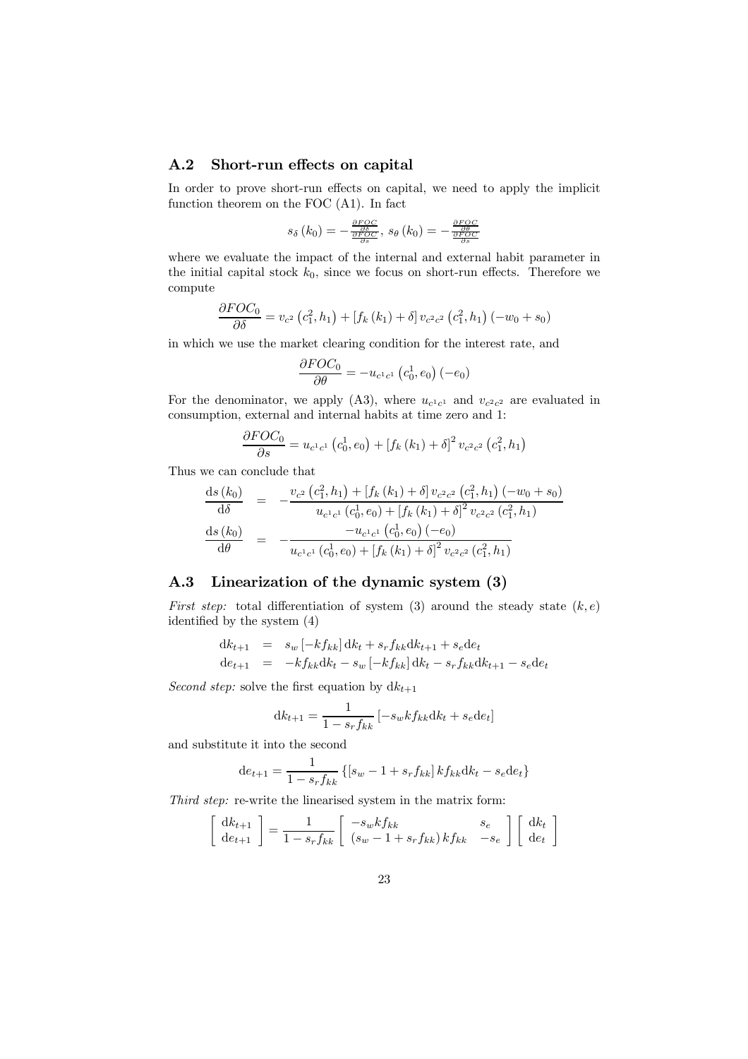#### $A.2$ Short-run effects on capital

In order to prove short-run effects on capital, we need to apply the implicit function theorem on the FOC  $(A1)$ . In fact

$$
s_{\delta}\left(k_{0}\right)=-\tfrac{\frac{\partial FOC}{\partial \delta}}{\frac{\partial FOC}{\partial s}}, \, s_{\theta}\left(k_{0}\right)=-\tfrac{\frac{\partial FOC}{\partial \theta}}{\frac{\partial FOC}{\partial s}}
$$

where we evaluate the impact of the internal and external habit parameter in the initial capital stock  $k_0$ , since we focus on short-run effects. Therefore we compute

$$
\frac{\partial FOC_0}{\partial \delta} = v_{c^2} (c_1^2, h_1) + [f_k (k_1) + \delta] v_{c^2 c^2} (c_1^2, h_1) (-w_0 + s_0)
$$

in which we use the market clearing condition for the interest rate, and

$$
\frac{\partial FOC_0}{\partial \theta} = -u_{c^1c^1} (c_0^1, e_0) (-e_0)
$$

For the denominator, we apply (A3), where  $u_{c^1c^1}$  and  $v_{c^2c^2}$  are evaluated in consumption, external and internal habits at time zero and 1:

$$
\frac{\partial FOC_0}{\partial s} = u_{c^1c^1} (c_0^1, e_0) + [f_k (k_1) + \delta]^2 v_{c^2c^2} (c_1^2, h_1)
$$

Thus we can conclude that

$$
\frac{ds(k_0)}{d\delta} = -\frac{v_{c^2}(c_1^2, h_1) + [f_k(k_1) + \delta] v_{c^2 c^2} (c_1^2, h_1) (-w_0 + s_0)}{u_{c^1 c^1} (c_0^1, e_0) + [f_k(k_1) + \delta]^2 v_{c^2 c^2} (c_1^2, h_1)}
$$
\n
$$
\frac{ds(k_0)}{d\theta} = -\frac{u_{c^1 c^1} (c_0^1, e_0) (-e_0)}{u_{c^1 c^1} (c_0^1, e_0) + [f_k(k_1) + \delta]^2 v_{c^2 c^2} (c_1^2, h_1)}
$$

### Linearization of the dynamic system (3)  $A.3$

*First step:* total differentiation of system (3) around the steady state  $(k, e)$ identified by the system  $(4)$ 

$$
dk_{t+1} = s_w [-kf_{kk}] dk_t + s_r f_{kk} dk_{t+1} + s_e de_t
$$
  
\n
$$
de_{t+1} = -kf_{kk} dk_t - s_w [-kf_{kk}] dk_t - s_r f_{kk} dk_{t+1} - s_e de_t
$$

*Second step:* solve the first equation by  $dk_{t+1}$ 

$$
dk_{t+1} = \frac{1}{1 - s_r f_{kk}} \left[ -s_w k f_{kk} dk_t + s_e d e_t \right]
$$

and substitute it into the second

$$
de_{t+1} = \frac{1}{1 - s_r f_{kk}} \left\{ [s_w - 1 + s_r f_{kk}] k f_{kk} dk_t - s_e de_t \right\}
$$

Third step: re-write the linearised system in the matrix form:

$$
\begin{bmatrix} dk_{t+1} \ d e_{t+1} \end{bmatrix} = \frac{1}{1 - s_r f_{kk}} \begin{bmatrix} -s_w k f_{kk} & s_e \ (s_w - 1 + s_r f_{kk}) k f_{kk} & -s_e \end{bmatrix} \begin{bmatrix} dk_t \ de_t \end{bmatrix}
$$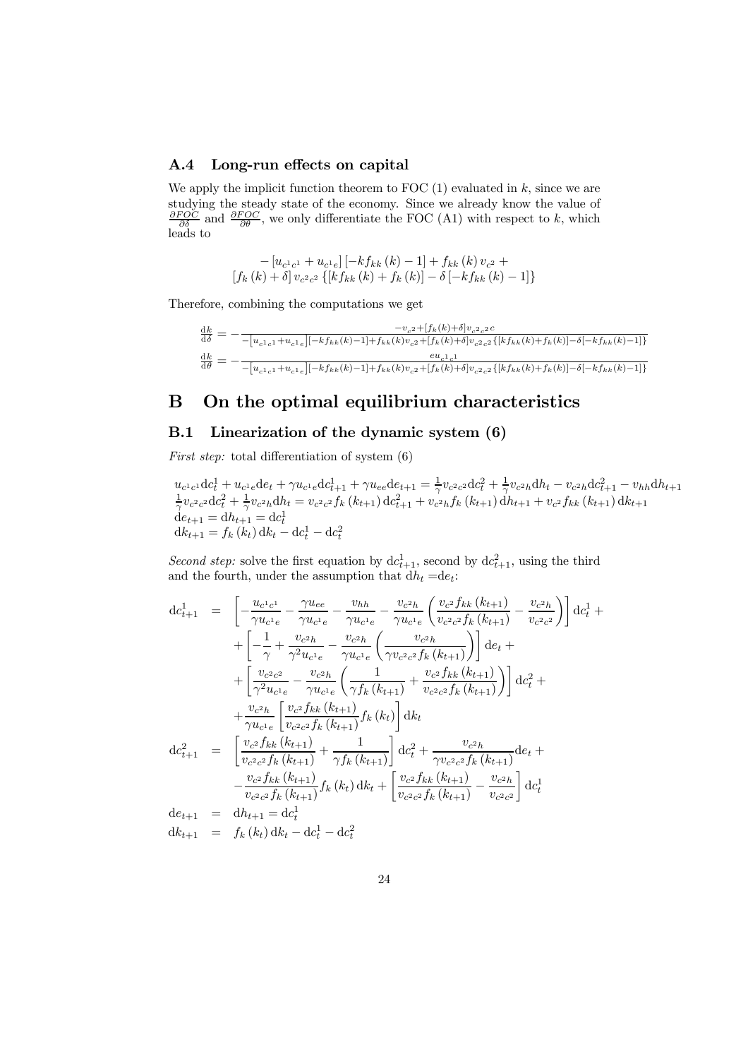#### $A.4$ Long-run effects on capital

We apply the implicit function theorem to FOC  $(1)$  evaluated in k, since we are studying the steady state of the economy. Since we already know the value of  $\frac{\partial FOC}{\partial \delta}$  and  $\frac{\partial FOC}{\partial \theta}$ , we only differentiate the FOC (A1) with respect to k, which leads to

$$
-\left[u_{c^{1}c^{1}}+u_{c^{1}e}\right]\left[-kf_{kk}\left(k\right)-1\right]+f_{kk}\left(k\right)v_{c^{2}} +\newline\left[f_{k}\left(k\right)+\delta\right]v_{c^{2}c^{2}}\left\{ \left[kf_{kk}\left(k\right)+f_{k}\left(k\right)\right]-\delta\left[-kf_{kk}\left(k\right)-1\right]\right\}
$$

Therefore, combining the computations we get

$$
\begin{array}{c} \frac{\mathrm{d}k}{\mathrm{d}\delta} = -\frac{-v_{c^2} + [f_k(k) + \delta]v_{c^2c^2}c}{-\left[u_{c^1c^1} + u_{c^1e}\right] [-kf_{kk}(k) - 1] + f_{kk}(k)v_{c^2} + [f_k(k) + \delta]v_{c^2c^2} \left\{ [kf_{kk}(k) + f_k(k)] - \delta[-kf_{kk}(k) - 1] \right\} } \\ \frac{\mathrm{d}k}{\mathrm{d}\theta} = -\frac{eu_{c^1c^1}}{-\left[u_{c^1c^1} + u_{c^1e}\right] [-kf_{kk}(k) - 1] + f_{kk}(k)v_{c^2} + [f_k(k) + \delta]v_{c^2c^2} \left\{ [kf_{kk}(k) + f_k(k)] - \delta[-kf_{kk}(k) - 1] \right\}} \end{array}
$$

### On the optimal equilibrium characteristics B

#### $B.1$ Linearization of the dynamic system (6)

*First step:* total differentiation of system  $(6)$ 

$$
u_{c^1c^1} \mathrm{d}c_t^1 + u_{c^1e} \mathrm{d}e_t + \gamma u_{c^1e} \mathrm{d}c_{t+1}^1 + \gamma u_{ee} \mathrm{d}e_{t+1} = \frac{1}{\gamma} v_{c^2c^2} \mathrm{d}c_t^2 + \frac{1}{\gamma} v_{c^2h} \mathrm{d}h_t - v_{c^2h} \mathrm{d}c_{t+1}^2 - v_{hh} \mathrm{d}h_{t+1}
$$
  
\n
$$
\frac{1}{\gamma} v_{c^2c^2} \mathrm{d}c_t^2 + \frac{1}{\gamma} v_{c^2h} \mathrm{d}h_t = v_{c^2c^2} f_k(k_{t+1}) \mathrm{d}c_{t+1}^2 + v_{c^2h} f_k(k_{t+1}) \mathrm{d}h_{t+1} + v_{c^2} f_{kk}(k_{t+1}) \mathrm{d}k_{t+1}
$$
  
\n
$$
\mathrm{d}e_{t+1} = \mathrm{d}h_{t+1} = \mathrm{d}c_t^1
$$
  
\n
$$
\mathrm{d}k_{t+1} = f_k(k_t) \mathrm{d}k_t - \mathrm{d}c_t^1 - \mathrm{d}c_t^2
$$

*Second step:* solve the first equation by  $dc_{t+1}^1$ , second by  $dc_{t+1}^2$ , using the third and the fourth, under the assumption that  $\mathrm{d} h_t = \mathrm{d} e_t$ :

$$
dc_{t+1}^{1} = \begin{bmatrix} -\frac{u_{c1c1}}{\gamma u_{c1e}} - \frac{\gamma u_{ee}}{\gamma u_{c1e}} - \frac{v_{hh}}{\gamma u_{c1e}} - \frac{v_{c2h}}{\gamma u_{c1e}} \left( \frac{v_{c2} f_{kk} (k_{t+1})}{v_{c2c2} f_k (k_{t+1})} - \frac{v_{c2h}}{v_{c2c2}} \right) \right] dc_{t}^{1} +
$$
  
+ 
$$
\begin{bmatrix} -\frac{1}{\gamma} + \frac{v_{c2h}}{\gamma^2 u_{c1e}} - \frac{v_{c2h}}{\gamma u_{c1e}} \left( \frac{v_{c2h}}{\gamma v_{c2c2} f_k (k_{t+1})} \right) \right] dc_{t}^{1} +
$$
  
+ 
$$
\begin{bmatrix} \frac{v_{c2c2}}{\gamma^2 u_{c1e}} - \frac{v_{c2h}}{\gamma u_{c1e}} \left( \frac{1}{\gamma f_k (k_{t+1})} + \frac{v_{c2} f_{kk} (k_{t+1})}{v_{c2c2} f_k (k_{t+1})} \right) \right] dc_{t}^{2} +
$$
  
+ 
$$
\frac{v_{c2h}}{\gamma u_{c1e}} \left[ \frac{v_{c2} f_{kk} (k_{t+1})}{v_{c2c2} f_k (k_{t+1})} f_k (k_t) \right] dk_t
$$
  

$$
dc_{t+1}^{2} = \begin{bmatrix} \frac{v_{c2} f_{kk} (k_{t+1})}{v_{c2c2} f_k (k_{t+1})} + \frac{1}{\gamma f_k (k_{t+1})} \right] dc_{t}^{2} + \frac{v_{c2h}}{\gamma v_{c2c2} f_k (k_{t+1})} dc_{t} +
$$
  
- 
$$
\frac{v_{c2} f_{kk} (k_{t+1})}{v_{c2c2} f_k (k_{t+1})} f_k (k_t) dk_{t} + \begin{bmatrix} \frac{v_{c2} f_{kk} (k_{t+1})}{v_{c2c2} f_k (k_{t+1})} - \frac{v_{c2h}}{v_{c2c2}} \end{bmatrix} dc_{t}^{1}
$$
  

$$
de_{t+1} = dh_{t+1} = dc_{t}^{1}
$$
<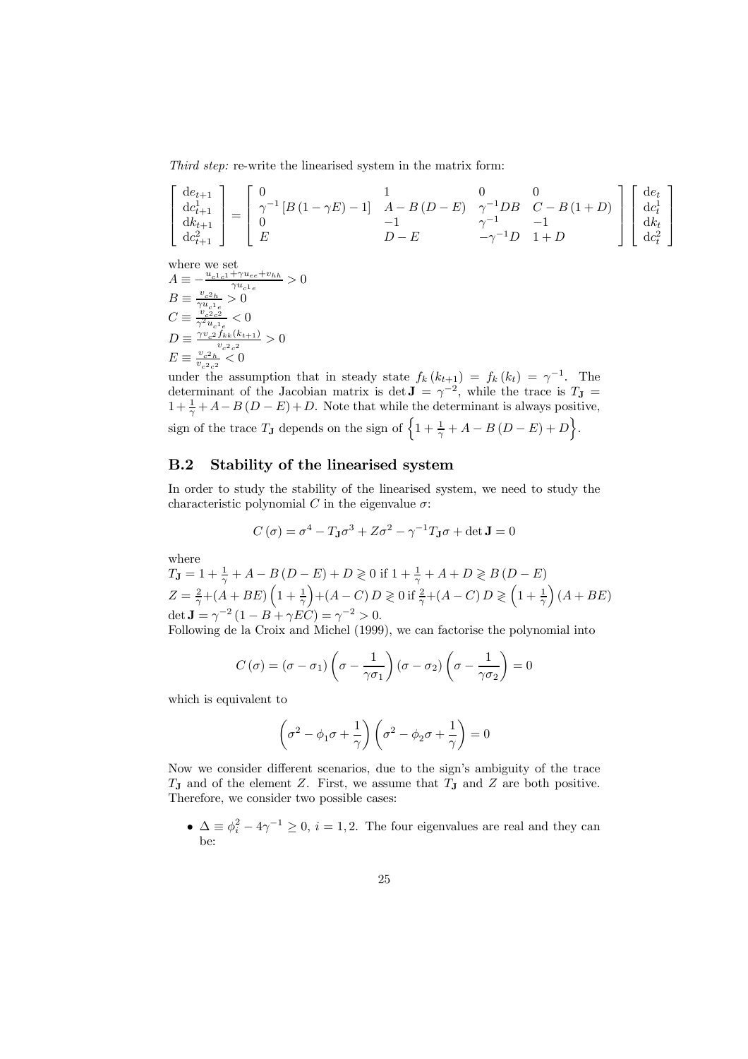Third step: re-write the linearised system in the matrix form:

$$
\begin{bmatrix} de_{t+1} \\ de_{t+1} \\ de_{t+1} \\ de_{t+1}^2 \\ de_{t+1}^2 \end{bmatrix} = \begin{bmatrix} 0 & 1 & 0 & 0 \\ \gamma^{-1} \left[ B \left( 1 - \gamma E \right) - 1 \right] & A - B \left( D - E \right) & \gamma^{-1} DB & C - B \left( 1 + D \right) \\ 0 & -1 & \gamma^{-1} D & -1 \\ D - E & -\gamma^{-1} D & 1 + D & \end{bmatrix} \begin{bmatrix} de_t \\ de_t^2 \\ de_t^2 \\ de_t^2 \end{bmatrix}
$$

where we set  
\n
$$
A \equiv -\frac{u_{c1c1} + \gamma u_{ce} + v_{hh}}{\gamma u_{c1e}} > 0
$$
\n
$$
B \equiv \frac{v_{c2h}}{\gamma u_{c1e}} > 0
$$
\n
$$
C \equiv \frac{v_{c2e}^2}{\gamma^2 u_{c1e}} < 0
$$
\n
$$
D \equiv \frac{\gamma v_{c2} f_{kk}(k_{t+1})}{v_{c2e}^2} > 0
$$
\n
$$
E \equiv \frac{v_{c2h}}{v_{c2e}^2} < 0
$$

under the assumption that in steady state  $f_k(k_{t+1}) = f_k(k_t) = \gamma^{-1}$ . The determinant of the Jacobian matrix is det  $\mathbf{J} = \gamma^{-2}$ , while the trace is  $T_{\mathbf{J}} =$  $1 + \frac{1}{\gamma} + A - B(D - E) + D$ . Note that while the determinant is always positive, sign of the trace  $T_J$  depends on the sign of  $\left\{1+\frac{1}{\gamma}+A-B(D-E)+D\right\}$ .

### $B.2$ Stability of the linearised system

In order to study the stability of the linearised system, we need to study the characteristic polynomial C in the eigenvalue  $\sigma$ :

$$
C(\sigma) = \sigma^4 - T_{\mathbf{J}}\sigma^3 + Z\sigma^2 - \gamma^{-1}T_{\mathbf{J}}\sigma + \det \mathbf{J} = 0
$$

where

$$
T_{\mathbf{J}} = 1 + \frac{1}{\gamma} + A - B(D - E) + D \ge 0 \text{ if } 1 + \frac{1}{\gamma} + A + D \ge B(D - E)
$$
  
\n
$$
Z = \frac{2}{\gamma} + (A + BE) \left( 1 + \frac{1}{\gamma} \right) + (A - C) D \ge 0 \text{ if } \frac{2}{\gamma} + (A - C) D \ge \left( 1 + \frac{1}{\gamma} \right) (A + BE)
$$
  
\n
$$
\det \mathbf{J} = \gamma^{-2} (1 - B + \gamma EC) = \gamma^{-2} > 0.
$$

Following de la Croix and Michel (1999), we can factorise the polynomial into

$$
C(\sigma) = (\sigma - \sigma_1) \left( \sigma - \frac{1}{\gamma \sigma_1} \right) (\sigma - \sigma_2) \left( \sigma - \frac{1}{\gamma \sigma_2} \right) = 0
$$

which is equivalent to

$$
\left(\sigma^2 - \phi_1 \sigma + \frac{1}{\gamma}\right) \left(\sigma^2 - \phi_2 \sigma + \frac{1}{\gamma}\right) = 0
$$

Now we consider different scenarios, due to the sign's ambiguity of the trace  $T_J$  and of the element Z. First, we assume that  $T_J$  and Z are both positive. Therefore, we consider two possible cases:

•  $\Delta \equiv \phi_i^2 - 4\gamma^{-1} \geq 0$ ,  $i = 1, 2$ . The four eigenvalues are real and they can be: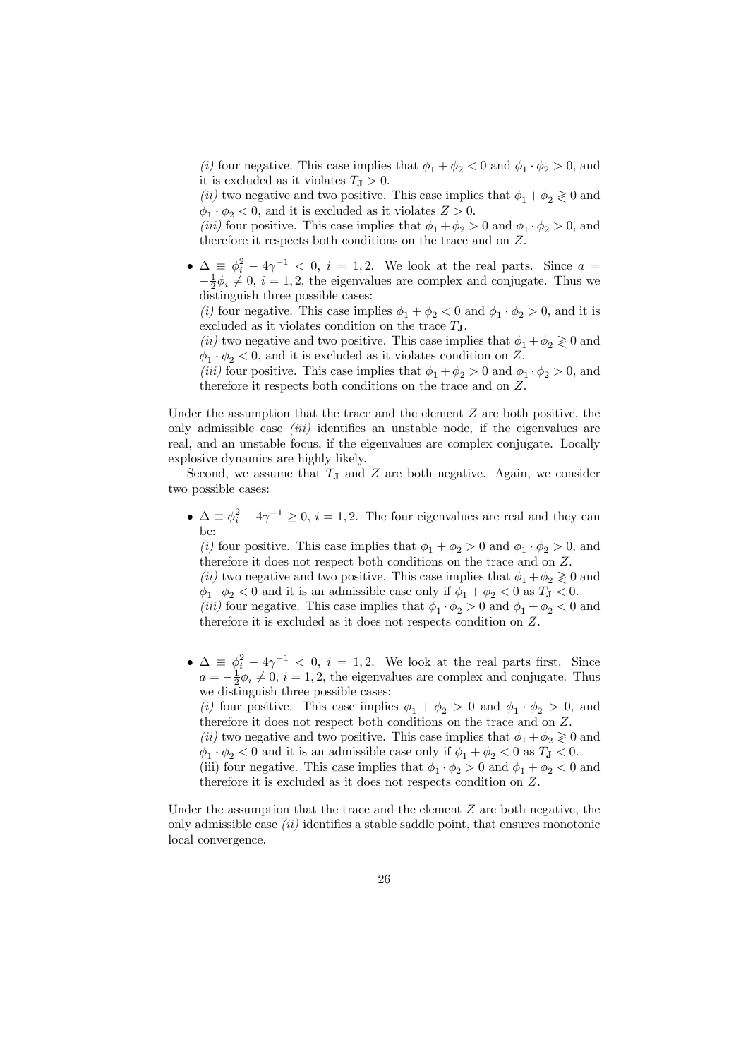(*i*) four negative. This case implies that  $\phi_1 + \phi_2 < 0$  and  $\phi_1 \cdot \phi_2 > 0$ , and it is excluded as it violates  $T_{\text{J}} > 0$ .

(*ii*) two negative and two positive. This case implies that  $\phi_1 + \phi_2 \geq 0$  and  $\phi_1 \cdot \phi_2 < 0$ , and it is excluded as it violates  $Z > 0$ .

(*iii*) four positive. This case implies that  $\phi_1 + \phi_2 > 0$  and  $\phi_1 \cdot \phi_2 > 0$ , and therefore it respects both conditions on the trace and on Z.

•  $\Delta \equiv \phi_i^2 - 4\gamma^{-1} < 0$ ,  $i = 1, 2$ . We look at the real parts. Since  $a = -\frac{1}{2}\phi_i \neq 0$ ,  $i = 1, 2$ , the eigenvalues are complex and conjugate. Thus we distinguish three possible cases:

(*i*) four negative. This case implies  $\phi_1 + \phi_2 < 0$  and  $\phi_1 \cdot \phi_2 > 0$ , and it is excluded as it violates condition on the trace  $T_{J}$ .

(*ii*) two negative and two positive. This case implies that  $\phi_1 + \phi_2 \geq 0$  and  $\phi_1 \cdot \phi_2 < 0$ , and it is excluded as it violates condition on Z.

(*iii*) four positive. This case implies that  $\phi_1 + \phi_2 > 0$  and  $\phi_1 \cdot \phi_2 > 0$ , and therefore it respects both conditions on the trace and on  $Z$ .

Under the assumption that the trace and the element  $Z$  are both positive, the only admissible case *(iii)* identifies an unstable node, if the eigenvalues are real, and an unstable focus, if the eigenvalues are complex conjugate. Locally explosive dynamics are highly likely.

Second, we assume that  $T_J$  and Z are both negative. Again, we consider two possible cases:

 $\bullet \Delta \equiv \phi_i^2 - 4\gamma^{-1} \geq 0, i = 1, 2.$  The four eigenvalues are real and they can

(*i*) four positive. This case implies that  $\phi_1 + \phi_2 > 0$  and  $\phi_1 \cdot \phi_2 > 0$ , and therefore it does not respect both conditions on the trace and on  $Z$ .

(*ii*) two negative and two positive. This case implies that  $\phi_1 + \phi_2 \geq 0$  and  $\phi_1 \cdot \phi_2 < 0$  and it is an admissible case only if  $\phi_1 + \phi_2 < 0$  as  $T_{\mathbf{J}} < 0$ .

(*iii*) four negative. This case implies that  $\phi_1 \cdot \phi_2 > 0$  and  $\phi_1 + \phi_2 < 0$  and therefore it is excluded as it does not respects condition on  $Z$ .

•  $\Delta \equiv \phi_i^2 - 4\gamma^{-1} < 0$ ,  $i = 1, 2$ . We look at the real parts first. Since  $a = -\frac{1}{2}\phi_i \neq 0$ ,  $i = 1, 2$ , the eigenvalues are complex and conjugate. Thus we distinguish three possible cases:

(*i*) four positive. This case implies  $\phi_1 + \phi_2 > 0$  and  $\phi_1 \cdot \phi_2 > 0$ , and therefore it does not respect both conditions on the trace and on  $Z$ .

(*ii*) two negative and two positive. This case implies that  $\phi_1 + \phi_2 \ge 0$  and  $\phi_1 \cdot \phi_2 < 0$  and it is an admissible case only if  $\phi_1 + \phi_2 < 0$  as  $T_{\mathbf{J}} < 0$ .

(iii) four negative. This case implies that  $\phi_1 \cdot \phi_2 > 0$  and  $\phi_1 + \phi_2 < 0$  and therefore it is excluded as it does not respects condition on  $Z$ .

Under the assumption that the trace and the element  $Z$  are both negative, the only admissible case  $(ii)$  identifies a stable saddle point, that ensures monotonic local convergence.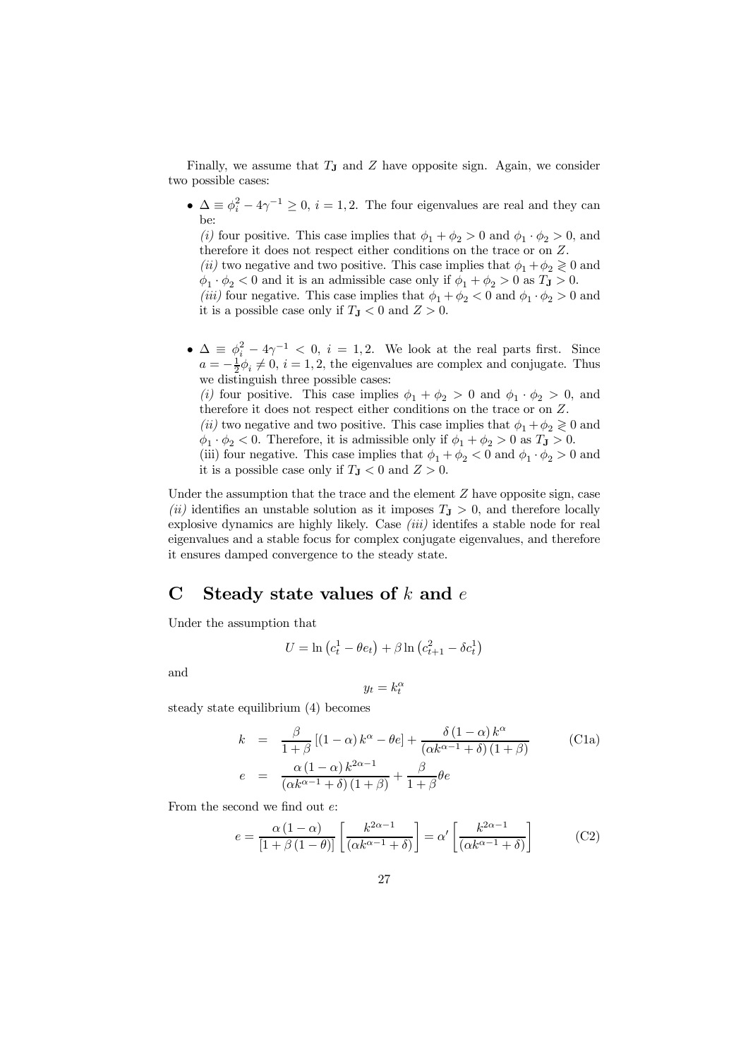Finally, we assume that  $T_J$  and  $Z$  have opposite sign. Again, we consider two possible cases:

•  $\Delta \equiv \phi_i^2 - 4\gamma^{-1} \geq 0, i = 1, 2$ . The four eigenvalues are real and they can

(*i*) four positive. This case implies that  $\phi_1 + \phi_2 > 0$  and  $\phi_1 \cdot \phi_2 > 0$ , and therefore it does not respect either conditions on the trace or on  $Z$ .

(*ii*) two negative and two positive. This case implies that  $\phi_1 + \phi_2 \geq 0$  and  $\phi_1 \cdot \phi_2 < 0$  and it is an admissible case only if  $\phi_1 + \phi_2 > 0$  as  $T_{\mathbf{J}} > 0$ .

(*iii*) four negative. This case implies that  $\phi_1 + \phi_2 < 0$  and  $\phi_1 \cdot \phi_2 > 0$  and it is a possible case only if  $T_{\text{J}} < 0$  and  $Z > 0$ .

•  $\Delta \equiv \phi_i^2 - 4\gamma^{-1} < 0$ ,  $i = 1, 2$ . We look at the real parts first. Since  $a = -\frac{1}{2}\phi_i \neq 0$ ,  $i = 1, 2$ , the eigenvalues are complex and conjugate. Thus we distinguish three possible cases:

(*i*) four positive. This case implies  $\phi_1 + \phi_2 > 0$  and  $\phi_1 \cdot \phi_2 > 0$ , and therefore it does not respect either conditions on the trace or on  $Z$ .

(*ii*) two negative and two positive. This case implies that  $\phi_1 + \phi_2 \ge 0$  and  $\phi_1 \cdot \phi_2 < 0$ . Therefore, it is admissible only if  $\phi_1 + \phi_2 > 0$  as  $T_{\mathbf{J}} > 0$ .

(iii) four negative. This case implies that  $\phi_1+\phi_2<0$  and  $\phi_1\cdot\phi_2>0$  and it is a possible case only if  $T_{\rm J} < 0$  and  $Z > 0$ .

Under the assumption that the trace and the element  $Z$  have opposite sign, case (ii) identifies an unstable solution as it imposes  $T_{\rm J} > 0$ , and therefore locally explosive dynamics are highly likely. Case  $(iii)$  identifes a stable node for real eigenvalues and a stable focus for complex conjugate eigenvalues, and therefore it ensures damped convergence to the steady state.

### $\mathbf C$ Steady state values of  $k$  and  $e$

Under the assumption that

$$
U = \ln\left(c_t^1 - \theta e_t\right) + \beta \ln\left(c_{t+1}^2 - \delta c_t^1\right)
$$

and

$$
y_t = k_t^{\alpha}
$$

steady state equilibrium  $(4)$  becomes

$$
k = \frac{\beta}{1+\beta}[(1-\alpha)k^{\alpha} - \theta e] + \frac{\delta(1-\alpha)k^{\alpha}}{(\alpha k^{\alpha-1} + \delta)(1+\beta)}
$$
(C1a)  

$$
e = \frac{\alpha(1-\alpha)k^{2\alpha-1}}{(\alpha k^{\alpha-1} + \delta)(1+\beta)} + \frac{\beta}{1+\beta}\theta e
$$

From the second we find out  $e$ :

$$
e = \frac{\alpha (1 - \alpha)}{[1 + \beta (1 - \theta)]} \left[ \frac{k^{2\alpha - 1}}{(\alpha k^{\alpha - 1} + \delta)} \right] = \alpha' \left[ \frac{k^{2\alpha - 1}}{(\alpha k^{\alpha - 1} + \delta)} \right]
$$
(C2)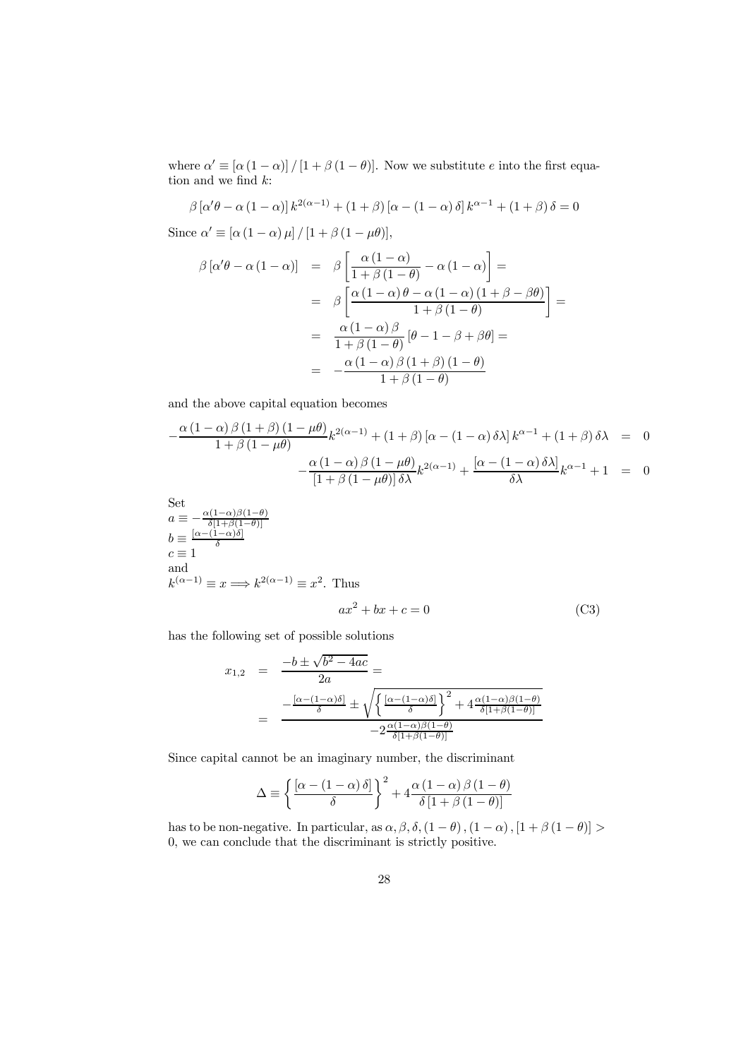where  $\alpha' \equiv [\alpha (1 - \alpha)] / [1 + \beta (1 - \theta)].$  Now we substitute e into the first equation and we find  $k$ :

$$
\beta \left[ \alpha' \theta - \alpha \left( 1 - \alpha \right) \right] k^{2(\alpha - 1)} + \left( 1 + \beta \right) \left[ \alpha - \left( 1 - \alpha \right) \delta \right] k^{\alpha - 1} + \left( 1 + \beta \right) \delta = 0
$$

Since  $\alpha' \equiv [\alpha (1 - \alpha) \mu]/[1 + \beta (1 - \mu \theta)],$ 

$$
\beta [\alpha'\theta - \alpha (1 - \alpha)] = \beta \left[ \frac{\alpha (1 - \alpha)}{1 + \beta (1 - \theta)} - \alpha (1 - \alpha) \right] =
$$

$$
= \beta \left[ \frac{\alpha (1 - \alpha)\theta - \alpha (1 - \alpha)(1 + \beta - \beta\theta)}{1 + \beta (1 - \theta)} \right] =
$$

$$
= \frac{\alpha (1 - \alpha)\beta}{1 + \beta (1 - \theta)} [\theta - 1 - \beta + \beta\theta] =
$$

$$
= -\frac{\alpha (1 - \alpha)\beta (1 + \beta)(1 - \theta)}{1 + \beta (1 - \theta)}
$$

and the above capital equation becomes

$$
-\frac{\alpha(1-\alpha)\beta(1+\beta)(1-\mu\theta)}{1+\beta(1-\mu\theta)}k^{2(\alpha-1)} + (1+\beta)[\alpha-(1-\alpha)\delta\lambda]k^{\alpha-1} + (1+\beta)\delta\lambda = 0
$$

$$
-\frac{\alpha(1-\alpha)\beta(1-\mu\theta)}{[1+\beta(1-\mu\theta)]\delta\lambda}k^{2(\alpha-1)} + \frac{[\alpha-(1-\alpha)\delta\lambda]}{\delta\lambda}k^{\alpha-1} + 1 = 0
$$

Set

$$
a \equiv -\frac{\alpha(1-\alpha)\beta(1-\theta)}{\delta[1+\beta(1-\theta)]}
$$
  
\n
$$
b \equiv \frac{[\alpha-(1-\alpha)\delta]}{\delta}
$$
  
\n
$$
c \equiv 1
$$
  
\nand  
\n
$$
k^{(\alpha-1)} \equiv x \Longrightarrow k^{2(\alpha-1)} \equiv x^2
$$
. Thus  
\n
$$
ax^2 + bx + c = 0
$$
\n(C3)

has the following set of possible solutions

$$
x_{1,2} = \frac{-b \pm \sqrt{b^2 - 4ac}}{2a} =
$$
  
= 
$$
\frac{-\frac{[\alpha - (1 - \alpha)\delta]}{\delta} \pm \sqrt{\frac{[\alpha - (1 - \alpha)\delta]}{\delta} \int^2 + 4\frac{\alpha(1 - \alpha)\beta(1 - \theta)}{\delta[1 + \beta(1 - \theta)]}}}{-2\frac{\alpha(1 - \alpha)\beta(1 - \theta)}{\delta[1 + \beta(1 - \theta)]}}
$$

Since capital cannot be an imaginary number, the discriminant

$$
\Delta \equiv \left\{ \frac{\left[ \alpha - \left( 1 - \alpha \right) \delta \right]}{\delta} \right\}^2 + 4 \frac{\alpha \left( 1 - \alpha \right) \beta \left( 1 - \theta \right)}{\delta \left[ 1 + \beta \left( 1 - \theta \right) \right]}
$$

has to be non-negative. In particular, as  $\alpha, \beta, \delta, (1-\theta), (1-\alpha), [1+\beta(1-\theta)] >$ 0, we can conclude that the discriminant is strictly positive.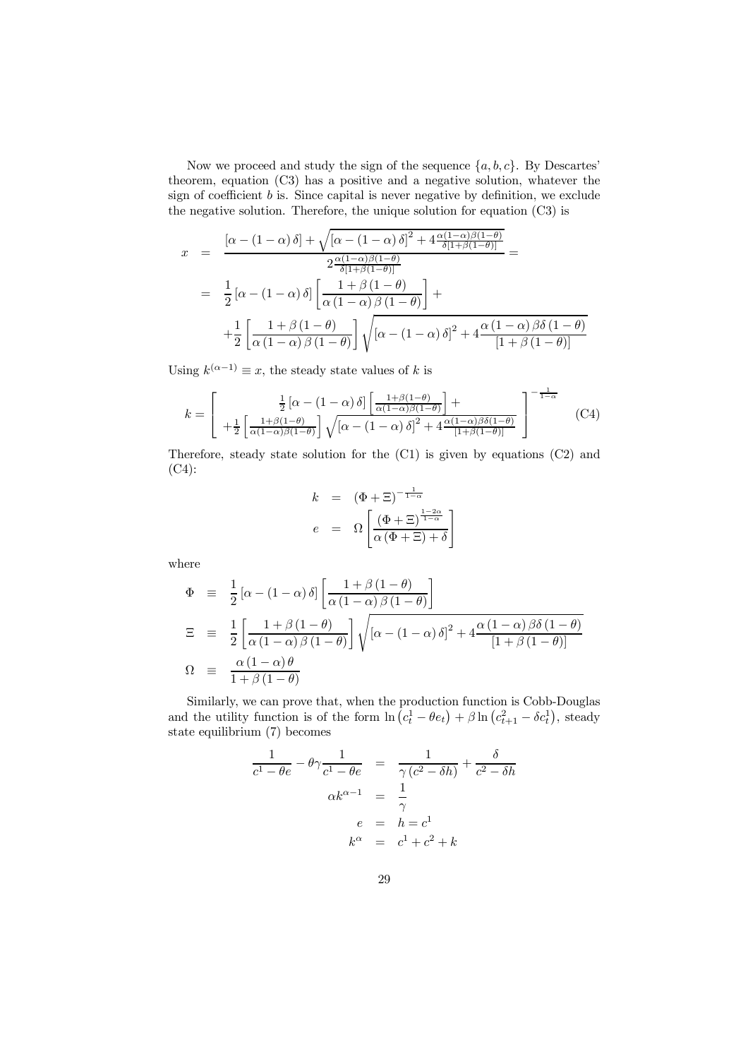Now we proceed and study the sign of the sequence  $\{a, b, c\}$ . By Descartes' theorem, equation (C3) has a positive and a negative solution, whatever the sign of coefficient  $b$  is. Since capital is never negative by definition, we exclude the negative solution. Therefore, the unique solution for equation  $(C3)$  is

$$
x = \frac{\left[\alpha - (1 - \alpha)\delta\right] + \sqrt{\left[\alpha - (1 - \alpha)\delta\right]^2 + 4\frac{\alpha(1 - \alpha)\beta(1 - \theta)}{\delta[1 + \beta(1 - \theta)]}}}{2\frac{\alpha(1 - \alpha)\beta(1 - \theta)}{\delta[1 + \beta(1 - \theta)]}} =
$$
  

$$
= \frac{1}{2}\left[\alpha - (1 - \alpha)\delta\right]\left[\frac{1 + \beta(1 - \theta)}{\alpha(1 - \alpha)\beta(1 - \theta)}\right] +
$$
  

$$
+ \frac{1}{2}\left[\frac{1 + \beta(1 - \theta)}{\alpha(1 - \alpha)\beta(1 - \theta)}\right]\sqrt{\left[\alpha - (1 - \alpha)\delta\right]^2 + 4\frac{\alpha(1 - \alpha)\beta\delta(1 - \theta)}{\left[1 + \beta(1 - \theta)\right]}}
$$

Using  $k^{(\alpha-1)} \equiv x$ , the steady state values of k is

$$
k = \begin{bmatrix} \frac{1}{2} \left[ \alpha - (1 - \alpha) \delta \right] \left[ \frac{1 + \beta(1 - \theta)}{\alpha(1 - \alpha)\beta(1 - \theta)} \right] + \\ + \frac{1}{2} \left[ \frac{1 + \beta(1 - \theta)}{\alpha(1 - \alpha)\beta(1 - \theta)} \right] \sqrt{\left[ \alpha - (1 - \alpha) \delta \right]^2 + 4 \frac{\alpha(1 - \alpha)\beta\delta(1 - \theta)}{\left[ 1 + \beta(1 - \theta) \right]}} \end{bmatrix}^{-\frac{1}{1 - \alpha}} \tag{C4}
$$

Therefore, steady state solution for the  $(C1)$  is given by equations  $(C2)$  and  $(C4)$ :

$$
k = (\Phi + \Xi)^{-\frac{1}{1-\alpha}}
$$
  

$$
e = \Omega \left[ \frac{(\Phi + \Xi)^{\frac{1-2\alpha}{1-\alpha}}}{\alpha(\Phi + \Xi) + \delta} \right]
$$

where

$$
\begin{array}{rcl}\n\Phi & \equiv & \frac{1}{2} \left[ \alpha - (1 - \alpha) \, \delta \right] \left[ \frac{1 + \beta \, (1 - \theta)}{\alpha \, (1 - \alpha) \, \beta \, (1 - \theta)} \right] \\
\Xi & \equiv & \frac{1}{2} \left[ \frac{1 + \beta \, (1 - \theta)}{\alpha \, (1 - \alpha) \, \beta \, (1 - \theta)} \right] \sqrt{\left[ \alpha - (1 - \alpha) \, \delta \right]^2 + 4 \frac{\alpha \, (1 - \alpha) \, \beta \delta \, (1 - \theta)}{\left[ 1 + \beta \, (1 - \theta) \right]}} \\
\Omega & \equiv & \frac{\alpha \, (1 - \alpha) \, \theta}{1 + \beta \, (1 - \theta)}\n\end{array}
$$

Similarly, we can prove that, when the production function is Cobb-Douglas<br>and the utility function is of the form  $\ln (c_t^1 - \theta e_t) + \beta \ln (c_{t+1}^2 - \delta c_t^1)$ , steady state equilibrium  $(7)$  becomes

$$
\frac{1}{c^1 - \theta e} - \theta \gamma \frac{1}{c^1 - \theta e} = \frac{1}{\gamma (c^2 - \delta h)} + \frac{\delta}{c^2 - \delta h}
$$

$$
\alpha k^{\alpha - 1} = \frac{1}{\gamma}
$$

$$
e = h = c^1
$$

$$
k^{\alpha} = c^1 + c^2 + k
$$